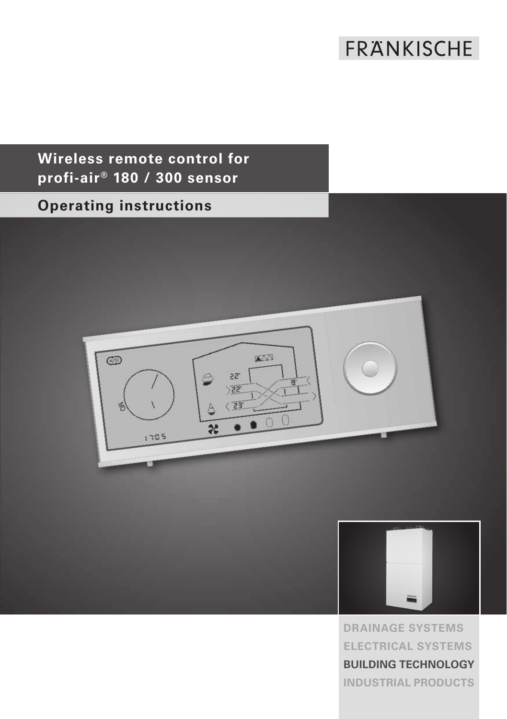# FRANKISCHE

## **Wireless remote control for profi-air® 180 / 300 sensor**

## **Operating instructions**





**DRAINAGE SYSTEMS ELECTRICAL SYSTEMS BUILDING TECHNOLOGY INDUSTRIAL PRODUCTS**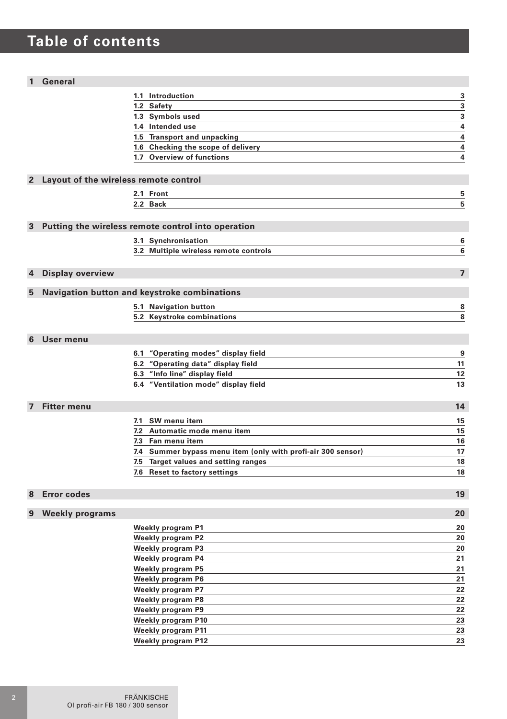# **Table of contents**

#### **1 General**

|                |                                       | 1.1 Introduction                                                    | 3                       |
|----------------|---------------------------------------|---------------------------------------------------------------------|-------------------------|
|                |                                       | 1.2 Safety                                                          | 3                       |
|                |                                       | 1.3 Symbols used                                                    | $\overline{\mathbf{3}}$ |
|                |                                       | 1.4 Intended use                                                    | 4                       |
|                |                                       | 1.5 Transport and unpacking                                         | 4                       |
|                |                                       | 1.6 Checking the scope of delivery                                  | 4                       |
|                |                                       | 1.7 Overview of functions                                           | 4                       |
|                |                                       |                                                                     |                         |
| $\mathbf{2}$   | Layout of the wireless remote control |                                                                     |                         |
|                |                                       | 2.1 Front                                                           | 5                       |
|                |                                       | 2.2 Back                                                            | 5                       |
|                |                                       |                                                                     |                         |
| 3              |                                       | Putting the wireless remote control into operation                  |                         |
|                |                                       | 3.1 Synchronisation                                                 | 6                       |
|                |                                       | 3.2 Multiple wireless remote controls                               | 6                       |
|                |                                       |                                                                     |                         |
|                |                                       |                                                                     | $\overline{ }$          |
| 4              | Display overview                      |                                                                     |                         |
| 5              |                                       | Navigation button and keystroke combinations                        |                         |
|                |                                       | 5.1 Navigation button                                               | 8                       |
|                |                                       | 5.2 Keystroke combinations                                          | 8                       |
|                |                                       |                                                                     |                         |
| 6              | User menu                             |                                                                     |                         |
|                |                                       | 6.1 "Operating modes" display field                                 |                         |
|                |                                       |                                                                     | 9<br>11                 |
|                |                                       | 6.2 "Operating data" display field<br>6.3 "Info line" display field | 12                      |
|                |                                       | 6.4 "Ventilation mode" display field                                | 13                      |
|                |                                       |                                                                     |                         |
| $\overline{7}$ | <b>Fitter menu</b>                    |                                                                     | 14                      |
|                |                                       |                                                                     |                         |
|                |                                       | 7.1 SW menu item                                                    | 15                      |
|                |                                       | 7.2 Automatic mode menu item                                        | 15                      |
|                |                                       | 7.3 Fan menu item                                                   | 16                      |
|                |                                       | 7.4 Summer bypass menu item (only with profi-air 300 sensor)        | 17                      |
|                |                                       | 7.5 Target values and setting ranges                                | 18                      |
|                |                                       | 7.6 Reset to factory settings                                       | 18                      |
|                |                                       |                                                                     |                         |
| 8              | <b>Error codes</b>                    |                                                                     | 19                      |
| 9              | <b>Weekly programs</b>                |                                                                     | 20                      |
|                |                                       | Weekly program P1                                                   | 20                      |
|                |                                       | <b>Weekly program P2</b>                                            | 20                      |
|                |                                       | <b>Weekly program P3</b>                                            | 20                      |
|                |                                       | <b>Weekly program P4</b>                                            | 21                      |
|                |                                       | <b>Weekly program P5</b>                                            | 21                      |
|                |                                       | <b>Weekly program P6</b>                                            | 21                      |
|                |                                       | <b>Weekly program P7</b>                                            | 22                      |
|                |                                       | <b>Weekly program P8</b>                                            | 22                      |
|                |                                       | <b>Weekly program P9</b>                                            | 22                      |
|                |                                       | <b>Weekly program P10</b>                                           | 23                      |
|                |                                       | <b>Weekly program P11</b>                                           | 23                      |
|                |                                       | <b>Weekly program P12</b>                                           | 23                      |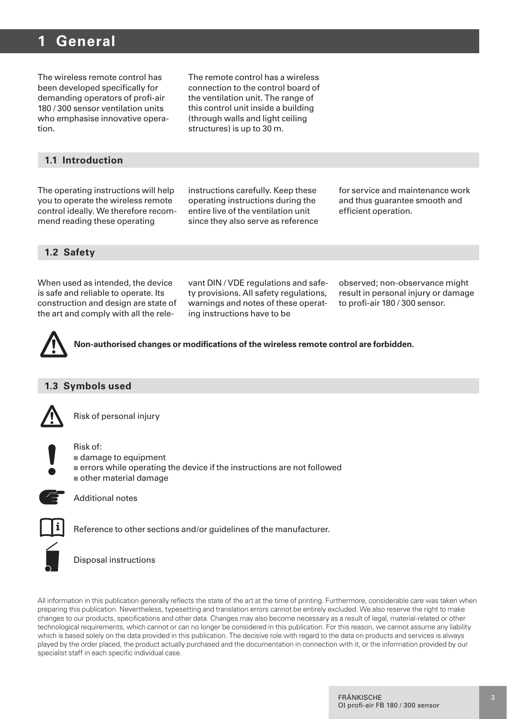### **1 General**

The wireless remote control has been developed specifically for demanding operators of profi-air 180 / 300 sensor ventilation units who emphasise innovative operation.

The remote control has a wireless connection to the control board of the ventilation unit. The range of this control unit inside a building (through walls and light ceiling structures) is up to 30 m.

#### **1.1 Introduction**

The operating instructions will help you to operate the wireless remote control ideally. We therefore recommend reading these operating

instructions carefully. Keep these operating instructions during the entire live of the ventilation unit since they also serve as reference for service and maintenance work and thus guarantee smooth and efficient operation.

#### **1.2 Safety**

When used as intended, the device is safe and reliable to operate. Its construction and design are state of the art and comply with all the rele-

vant DIN / VDE regulations and safety provisions. All safety regulations, warnings and notes of these operating instructions have to be

observed; non-observance might result in personal injury or damage to profi-air 180 / 300 sensor.

**Non-authorised changes or modifications of the wireless remote control are forbidden.**

#### **1.3 Symbols used**



Risk of personal injury



Risk of: n damage to equipment

- $\blacksquare$  errors while operating the device if the instructions are not followed
- $\blacksquare$  other material damage



Additional notes



Reference to other sections and/or guidelines of the manufacturer.

Disposal instructions

All information in this publication generally reflects the state of the art at the time of printing. Furthermore, considerable care was taken when preparing this publication. Nevertheless, typesetting and translation errors cannot be entirely excluded. We also reserve the right to make changes to our products, specifications and other data. Changes may also become necessary as a result of legal, material-related or other technological requirements, which cannot or can no longer be considered in this publication. For this reason, we cannot assume any liability which is based solely on the data provided in this publication. The decisive role with regard to the data on products and services is always played by the order placed, the product actually purchased and the documentation in connection with it, or the information provided by our specialist staff in each specific individual case.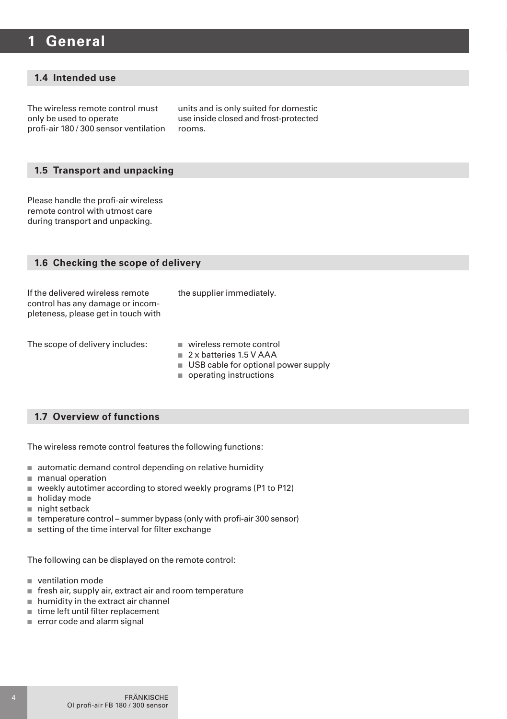### **1 General**

#### **1.4 Intended use**

The wireless remote control must only be used to operate profi-air 180 / 300 sensor ventilation units and is only suited for domestic use inside closed and frost-protected rooms.

#### **1.5 Transport and unpacking**

Please handle the profi-air wireless remote control with utmost care during transport and unpacking.

| 1.6 Checking the scope of delivery                                                                          |                                                                                                                          |  |
|-------------------------------------------------------------------------------------------------------------|--------------------------------------------------------------------------------------------------------------------------|--|
| If the delivered wireless remote<br>control has any damage or incom-<br>pleteness, please get in touch with | the supplier immediately.                                                                                                |  |
| The scope of delivery includes:                                                                             | wireless remote control<br>2 x batteries 1.5 V AAA<br>USB cable for optional power supply<br>٠<br>operating instructions |  |

#### **1.7 Overview of functions**

The wireless remote control features the following functions:

- $\blacksquare$  automatic demand control depending on relative humidity
- $m$  manual operation
- weekly autotimer according to stored weekly programs (P1 to P12)
- $\blacksquare$  holiday mode
- $\blacksquare$  night setback
- $\blacksquare$  temperature control summer bypass (only with profi-air 300 sensor)
- $\blacksquare$  setting of the time interval for filter exchange

The following can be displayed on the remote control:

- ventilation mode
- $\blacksquare$  fresh air, supply air, extract air and room temperature
- $n$  humidity in the extract air channel
- $n$  time left until filter replacement
- $\equiv$  error code and alarm signal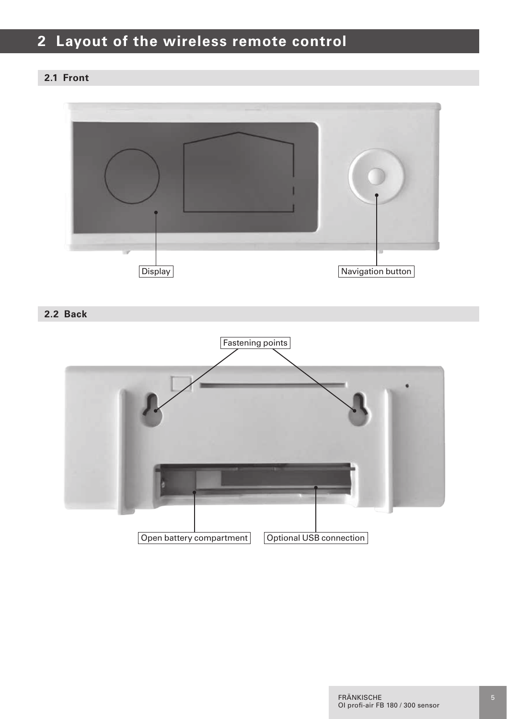## **2 Layout of the wireless remote control**

#### **2.1 Front**



**2.2 Back**

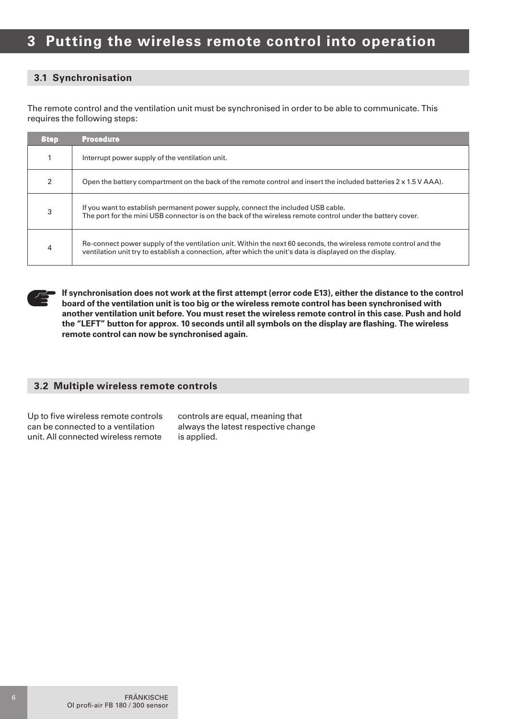#### **3.1 Synchronisation**

The remote control and the ventilation unit must be synchronised in order to be able to communicate. This requires the following steps:

| <b>Step</b> | <b>Procedure</b>                                                                                                                                                                                                             |
|-------------|------------------------------------------------------------------------------------------------------------------------------------------------------------------------------------------------------------------------------|
|             | Interrupt power supply of the ventilation unit.                                                                                                                                                                              |
| 2           | Open the battery compartment on the back of the remote control and insert the included batteries 2 x 1.5 V AAA).                                                                                                             |
| 3           | If you want to establish permanent power supply, connect the included USB cable.<br>The port for the mini USB connector is on the back of the wireless remote control under the battery cover.                               |
|             | Re-connect power supply of the ventilation unit. Within the next 60 seconds, the wireless remote control and the<br>ventilation unit try to establish a connection, after which the unit's data is displayed on the display. |

**If synchronisation does not work at the first attempt (error code E13), either the distance to the control board of the ventilation unit is too big or the wireless remote control has been synchronised with another ventilation unit before. You must reset the wireless remote control in this case. Push and hold the "LEFT" button for approx. 10 seconds until all symbols on the display are flashing. The wireless remote control can now be synchronised again.**

#### **3.2 Multiple wireless remote controls**

Up to five wireless remote controls can be connected to a ventilation unit. All connected wireless remote

controls are equal, meaning that always the latest respective change is applied.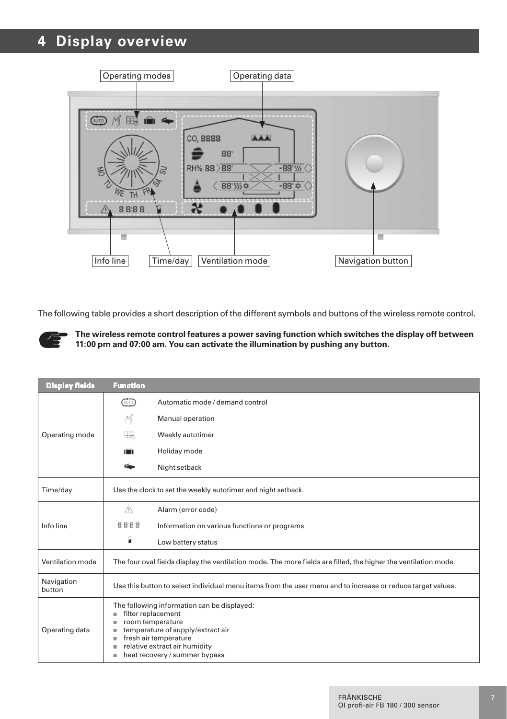## **4 Display overview**



The following table provides a short description of the different symbols and buttons of the wireless remote control.



**The wireless remote control features a power saving function which switches the display off between 11:00 pm and 07:00 am. You can activate the illumination by pushing any button.**

| <b>Display fields</b> | <b>Function</b>                                              |                                                                                                                                                                                                                       |
|-----------------------|--------------------------------------------------------------|-----------------------------------------------------------------------------------------------------------------------------------------------------------------------------------------------------------------------|
|                       | @                                                            | Automatic mode / demand control                                                                                                                                                                                       |
|                       | M                                                            | Manual operation                                                                                                                                                                                                      |
| Operating mode        | ₩                                                            | Weekly autotimer                                                                                                                                                                                                      |
|                       | ni in                                                        | Holiday mode                                                                                                                                                                                                          |
|                       | Ńш                                                           | Night setback                                                                                                                                                                                                         |
| Time/day              | Use the clock to set the weekly autotimer and night setback. |                                                                                                                                                                                                                       |
|                       | Ж                                                            | Alarm (error code)                                                                                                                                                                                                    |
| Info line             | 8888                                                         | Information on various functions or programs                                                                                                                                                                          |
|                       | R                                                            | Low battery status                                                                                                                                                                                                    |
| Ventilation mode      |                                                              | The four oval fields display the ventilation mode. The more fields are filled, the higher the ventilation mode.                                                                                                       |
| Navigation<br>button  |                                                              | Use this button to select individual menu items from the user menu and to increase or reduce target values.                                                                                                           |
| Operating data        | ٠<br>٠<br>٠<br>٠<br>٠<br>٠                                   | The following information can be displayed:<br>filter replacement<br>room temperature<br>temperature of supply/extract air<br>fresh air temperature<br>relative extract air humidity<br>heat recovery / summer bypass |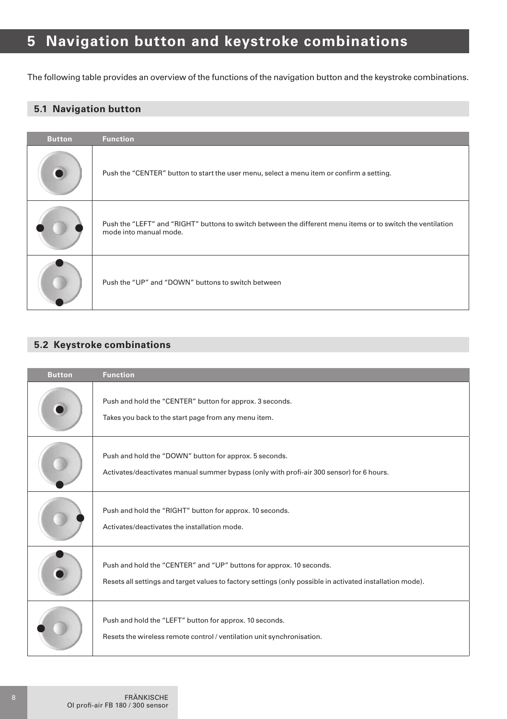## **5 Navigation button and keystroke combinations**

The following table provides an overview of the functions of the navigation button and the keystroke combinations.

#### **5.1 Navigation button**

| <b>Button</b> | <b>Function</b>                                                                                                                       |
|---------------|---------------------------------------------------------------------------------------------------------------------------------------|
|               | Push the "CENTER" button to start the user menu, select a menu item or confirm a setting.                                             |
|               | Push the "LEFT" and "RIGHT" buttons to switch between the different menu items or to switch the ventilation<br>mode into manual mode. |
|               | Push the "UP" and "DOWN" buttons to switch between                                                                                    |

#### **5.2 Keystroke combinations**

| <b>Button</b> | <b>Function</b>                                                                                                                                                                  |
|---------------|----------------------------------------------------------------------------------------------------------------------------------------------------------------------------------|
|               | Push and hold the "CENTER" button for approx. 3 seconds.<br>Takes you back to the start page from any menu item.                                                                 |
|               | Push and hold the "DOWN" button for approx. 5 seconds.<br>Activates/deactivates manual summer bypass (only with profi-air 300 sensor) for 6 hours.                               |
|               | Push and hold the "RIGHT" button for approx. 10 seconds.<br>Activates/deactivates the installation mode.                                                                         |
|               | Push and hold the "CENTER" and "UP" buttons for approx. 10 seconds.<br>Resets all settings and target values to factory settings (only possible in activated installation mode). |
|               | Push and hold the "LEFT" button for approx. 10 seconds.<br>Resets the wireless remote control / ventilation unit synchronisation.                                                |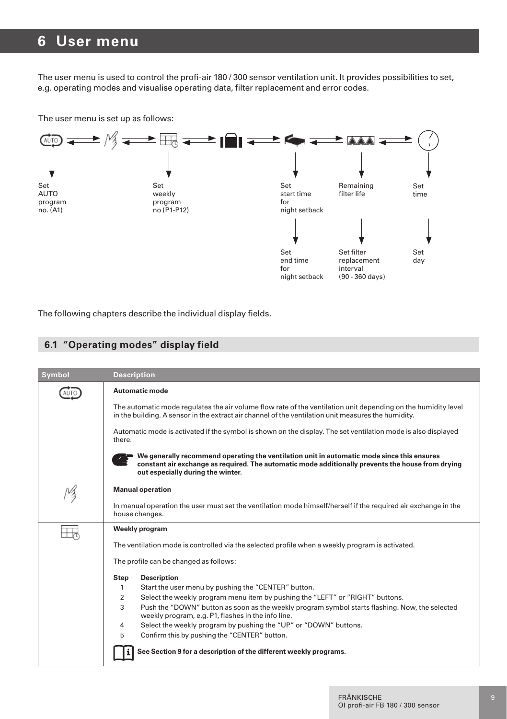### **6 User menu**

The user menu is used to control the profi-air 180 / 300 sensor ventilation unit. It provides possibilities to set, e.g. operating modes and visualise operating data, filter replacement and error codes.

The user menu is set up as follows:



The following chapters describe the individual display fields.

#### **6.1 "Operating modes" display field**

| <b>Symbol</b> | <b>Description</b>                                                                                                                                                                                                                   |
|---------------|--------------------------------------------------------------------------------------------------------------------------------------------------------------------------------------------------------------------------------------|
|               | Automatic mode                                                                                                                                                                                                                       |
|               | The automatic mode regulates the air volume flow rate of the ventilation unit depending on the humidity level<br>in the building. A sensor in the extract air channel of the ventilation unit measures the humidity.                 |
|               | Automatic mode is activated if the symbol is shown on the display. The set ventilation mode is also displayed<br>there.                                                                                                              |
|               | We generally recommend operating the ventilation unit in automatic mode since this ensures<br>constant air exchange as required. The automatic mode additionally prevents the house from drying<br>out especially during the winter. |
|               | <b>Manual operation</b>                                                                                                                                                                                                              |
|               | In manual operation the user must set the ventilation mode himself/herself if the required air exchange in the<br>house changes.                                                                                                     |
|               | Weekly program                                                                                                                                                                                                                       |
|               | The ventilation mode is controlled via the selected profile when a weekly program is activated.                                                                                                                                      |
|               | The profile can be changed as follows:                                                                                                                                                                                               |
|               | <b>Description</b><br>Step                                                                                                                                                                                                           |
|               | Start the user menu by pushing the "CENTER" button.<br>1                                                                                                                                                                             |
|               | $\overline{2}$<br>Select the weekly program menu item by pushing the "LEFT" or "RIGHT" buttons.                                                                                                                                      |
|               | 3<br>Push the "DOWN" button as soon as the weekly program symbol starts flashing. Now, the selected<br>weekly program, e.g. P1, flashes in the info line.                                                                            |
|               | Select the weekly program by pushing the "UP" or "DOWN" buttons.<br>4                                                                                                                                                                |
|               | 5<br>Confirm this by pushing the "CENTER" button.                                                                                                                                                                                    |
|               | See Section 9 for a description of the different weekly programs.                                                                                                                                                                    |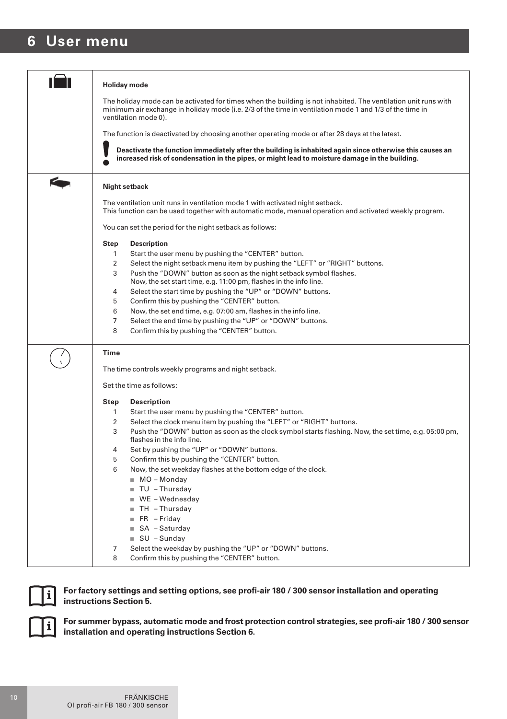## **6 User menu**

|   | <b>Holiday</b> mode                                                                                                                                                                                                                               |
|---|---------------------------------------------------------------------------------------------------------------------------------------------------------------------------------------------------------------------------------------------------|
|   | The holiday mode can be activated for times when the building is not inhabited. The ventilation unit runs with<br>minimum air exchange in holiday mode (i.e. 2/3 of the time in ventilation mode 1 and 1/3 of the time in<br>ventilation mode 0). |
|   | The function is deactivated by choosing another operating mode or after 28 days at the latest.                                                                                                                                                    |
|   | Deactivate the function immediately after the building is inhabited again since otherwise this causes an<br>increased risk of condensation in the pipes, or might lead to moisture damage in the building.                                        |
| G | Night setback                                                                                                                                                                                                                                     |
|   | The ventilation unit runs in ventilation mode 1 with activated night setback.<br>This function can be used together with automatic mode, manual operation and activated weekly program.                                                           |
|   | You can set the period for the night setback as follows:                                                                                                                                                                                          |
|   | <b>Step</b><br><b>Description</b>                                                                                                                                                                                                                 |
|   | 1<br>Start the user menu by pushing the "CENTER" button.                                                                                                                                                                                          |
|   | 2<br>Select the night setback menu item by pushing the "LEFT" or "RIGHT" buttons.<br>3<br>Push the "DOWN" button as soon as the night setback symbol flashes.                                                                                     |
|   | Now, the set start time, e.g. 11:00 pm, flashes in the info line.                                                                                                                                                                                 |
|   | Select the start time by pushing the "UP" or "DOWN" buttons.<br>4                                                                                                                                                                                 |
|   | Confirm this by pushing the "CENTER" button.<br>5                                                                                                                                                                                                 |
|   | 6<br>Now, the set end time, e.g. 07:00 am, flashes in the info line.                                                                                                                                                                              |
|   | $\overline{7}$<br>Select the end time by pushing the "UP" or "DOWN" buttons.<br>8<br>Confirm this by pushing the "CENTER" button.                                                                                                                 |
|   |                                                                                                                                                                                                                                                   |
|   | Time                                                                                                                                                                                                                                              |
|   | The time controls weekly programs and night setback.                                                                                                                                                                                              |
|   | Set the time as follows:                                                                                                                                                                                                                          |
|   | Step<br><b>Description</b>                                                                                                                                                                                                                        |
|   | Start the user menu by pushing the "CENTER" button.<br>1                                                                                                                                                                                          |
|   | 2<br>Select the clock menu item by pushing the "LEFT" or "RIGHT" buttons.                                                                                                                                                                         |
|   | 3<br>Push the "DOWN" button as soon as the clock symbol starts flashing. Now, the set time, e.g. 05:00 pm,<br>flashes in the info line.                                                                                                           |
|   | Set by pushing the "UP" or "DOWN" buttons.<br>4                                                                                                                                                                                                   |
|   | Confirm this by pushing the "CENTER" button.<br>5                                                                                                                                                                                                 |
|   | 6<br>Now, the set weekday flashes at the bottom edge of the clock.                                                                                                                                                                                |
|   | $MO - Monday$                                                                                                                                                                                                                                     |
|   | $\blacksquare$ TU - Thursday                                                                                                                                                                                                                      |
|   | ■ WE - Wednesday                                                                                                                                                                                                                                  |
|   | $\blacksquare$ TH - Thursday<br>$F R - Friday$                                                                                                                                                                                                    |
|   | ■ SA - Saturday                                                                                                                                                                                                                                   |
|   | $\equiv$ SU - Sunday                                                                                                                                                                                                                              |
|   | 7<br>Select the weekday by pushing the "UP" or "DOWN" buttons.                                                                                                                                                                                    |
|   | 8<br>Confirm this by pushing the "CENTER" button.                                                                                                                                                                                                 |
|   |                                                                                                                                                                                                                                                   |



**For factory settings and setting options, see profi-air 180 / 300 sensor installation and operating instructions Section 5.**



**For summer bypass, automatic mode and frost protection control strategies, see profi-air 180 / 300 sensor installation and operating instructions Section 6.**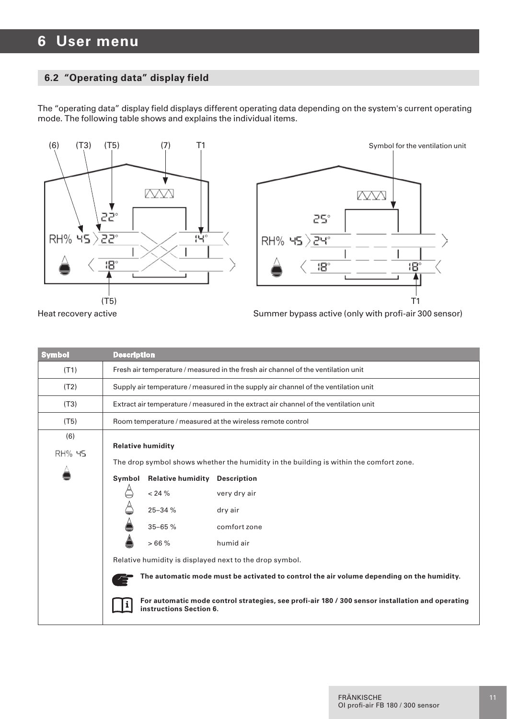#### **6.2 "Operating data" display field**

The "operating data" display field displays different operating data depending on the system's current operating mode. The following table shows and explains the individual items.





Heat recovery active **Summer by active Community** Summer by pass active (only with profi-air 300 sensor)

| <b>Symbol</b> | <b>Description</b>                                                                                                          |  |  |
|---------------|-----------------------------------------------------------------------------------------------------------------------------|--|--|
| (T1)          | Fresh air temperature / measured in the fresh air channel of the ventilation unit                                           |  |  |
| (T2)          | Supply air temperature / measured in the supply air channel of the ventilation unit                                         |  |  |
| (T3)          | Extract air temperature / measured in the extract air channel of the ventilation unit                                       |  |  |
| (T5)          | Room temperature / measured at the wireless remote control                                                                  |  |  |
| (6)           |                                                                                                                             |  |  |
| <b>RH% 45</b> | <b>Relative humidity</b>                                                                                                    |  |  |
|               | The drop symbol shows whether the humidity in the building is within the comfort zone.                                      |  |  |
|               | <b>Relative humidity Description</b><br>Symbol                                                                              |  |  |
|               | ê<br>$< 24 \%$<br>very dry air                                                                                              |  |  |
|               | 25-34 %<br>dry air                                                                                                          |  |  |
|               | $35 - 65%$<br>comfort zone                                                                                                  |  |  |
|               | å<br>>66%<br>humid air                                                                                                      |  |  |
|               | Relative humidity is displayed next to the drop symbol.                                                                     |  |  |
|               | The automatic mode must be activated to control the air volume depending on the humidity.                                   |  |  |
|               | For automatic mode control strategies, see profi-air 180 / 300 sensor installation and operating<br>instructions Section 6. |  |  |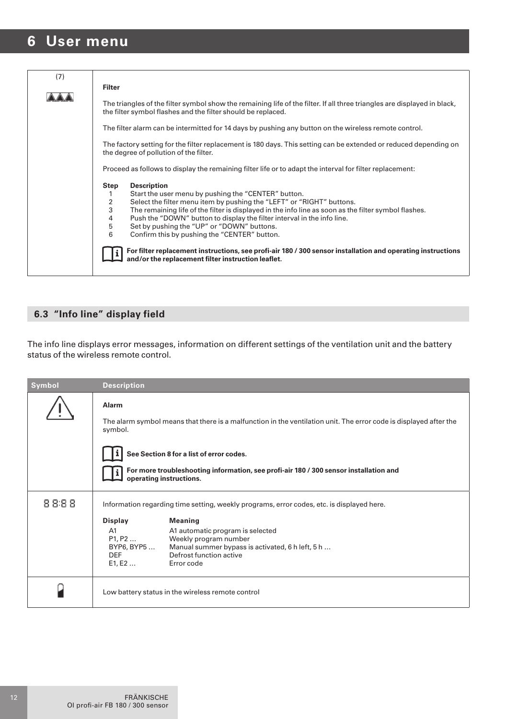### **6 User menu**

| Filter                                                                                                                                                                                                                                                                                                                                                                                                                                                                                                                                                                                                                                                               |
|----------------------------------------------------------------------------------------------------------------------------------------------------------------------------------------------------------------------------------------------------------------------------------------------------------------------------------------------------------------------------------------------------------------------------------------------------------------------------------------------------------------------------------------------------------------------------------------------------------------------------------------------------------------------|
| The triangles of the filter symbol show the remaining life of the filter. If all three triangles are displayed in black,<br>the filter symbol flashes and the filter should be replaced.                                                                                                                                                                                                                                                                                                                                                                                                                                                                             |
| The filter alarm can be intermitted for 14 days by pushing any button on the wireless remote control.                                                                                                                                                                                                                                                                                                                                                                                                                                                                                                                                                                |
| The factory setting for the filter replacement is 180 days. This setting can be extended or reduced depending on<br>the degree of pollution of the filter.                                                                                                                                                                                                                                                                                                                                                                                                                                                                                                           |
| Proceed as follows to display the remaining filter life or to adapt the interval for filter replacement:                                                                                                                                                                                                                                                                                                                                                                                                                                                                                                                                                             |
| <b>Description</b><br>Step<br>Start the user menu by pushing the "CENTER" button.<br>1<br>$\overline{\mathbf{c}}$<br>Select the filter menu item by pushing the "LEFT" or "RIGHT" buttons.<br>3<br>The remaining life of the filter is displayed in the info line as soon as the filter symbol flashes.<br>4<br>Push the "DOWN" button to display the filter interval in the info line.<br>5<br>Set by pushing the "UP" or "DOWN" buttons.<br>6<br>Confirm this by pushing the "CENTER" button.<br>For filter replacement instructions, see profi-air 180 / 300 sensor installation and operating instructions<br>and/or the replacement filter instruction leaflet. |
|                                                                                                                                                                                                                                                                                                                                                                                                                                                                                                                                                                                                                                                                      |

### **6.3 "Info line" display field**

The info line displays error messages, information on different settings of the ventilation unit and the battery status of the wireless remote control.

| Symbol | <b>Description</b>                                                                                                                                                                                                                        |  |
|--------|-------------------------------------------------------------------------------------------------------------------------------------------------------------------------------------------------------------------------------------------|--|
|        | Alarm<br>The alarm symbol means that there is a malfunction in the ventilation unit. The error code is displayed after the<br>symbol.                                                                                                     |  |
|        | See Section 8 for a list of error codes.                                                                                                                                                                                                  |  |
|        | For more troubleshooting information, see profi-air 180 / 300 sensor installation and<br>operating instructions.                                                                                                                          |  |
| 8888   | Information regarding time setting, weekly programs, error codes, etc. is displayed here.                                                                                                                                                 |  |
|        | <b>Meaning</b><br>Display<br>A1<br>A1 automatic program is selected<br>P1, P2<br>Weekly program number<br>BYP6, BYP5<br>Manual summer bypass is activated, 6 h left, 5 h<br>Defrost function active<br><b>DEF</b><br>E1, E2<br>Error code |  |
|        | Low battery status in the wireless remote control                                                                                                                                                                                         |  |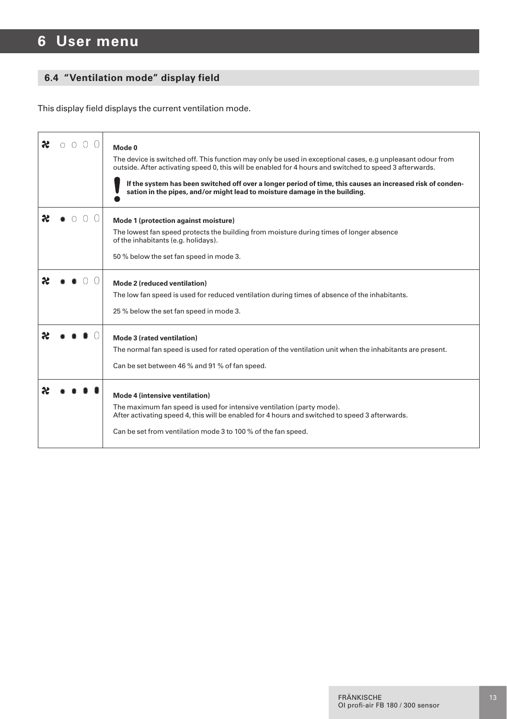## **6 User menu**

#### **6.4 "Ventilation mode" display field**

This display field displays the current ventilation mode.

| Mode 0<br>The device is switched off. This function may only be used in exceptional cases, e.g unpleasant odour from<br>outside. After activating speed 0, this will be enabled for 4 hours and switched to speed 3 afterwards.<br>If the system has been switched off over a longer period of time, this causes an increased risk of conden-<br>sation in the pipes, and/or might lead to moisture damage in the building. |
|-----------------------------------------------------------------------------------------------------------------------------------------------------------------------------------------------------------------------------------------------------------------------------------------------------------------------------------------------------------------------------------------------------------------------------|
| Mode 1 (protection against moisture)<br>The lowest fan speed protects the building from moisture during times of longer absence<br>of the inhabitants (e.g. holidays).<br>50 % below the set fan speed in mode 3.                                                                                                                                                                                                           |
| Mode 2 (reduced ventilation)<br>The low fan speed is used for reduced ventilation during times of absence of the inhabitants.<br>25 % below the set fan speed in mode 3.                                                                                                                                                                                                                                                    |
| Mode 3 (rated ventilation)<br>The normal fan speed is used for rated operation of the ventilation unit when the inhabitants are present.<br>Can be set between 46 % and 91 % of fan speed.                                                                                                                                                                                                                                  |
| Mode 4 (intensive ventilation)<br>The maximum fan speed is used for intensive ventilation (party mode).<br>After activating speed 4, this will be enabled for 4 hours and switched to speed 3 afterwards.<br>Can be set from ventilation mode 3 to 100 % of the fan speed.                                                                                                                                                  |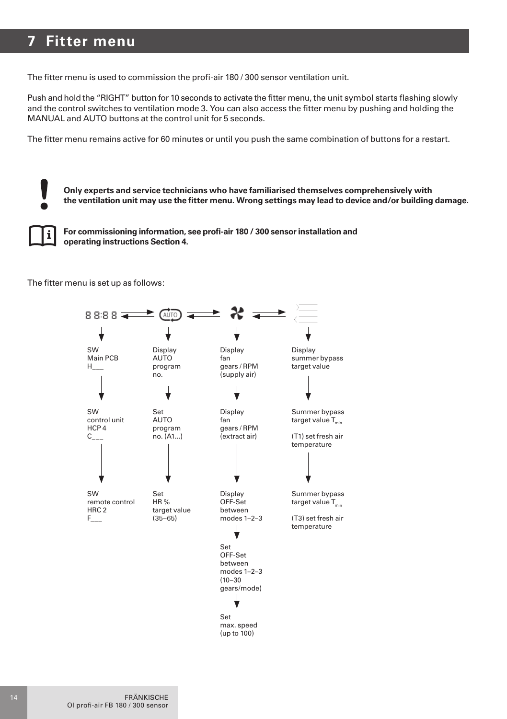## **7 Fitter menu**

The fitter menu is used to commission the profi-air 180 / 300 sensor ventilation unit.

Push and hold the "RIGHT" button for 10 seconds to activate the fitter menu, the unit symbol starts flashing slowly and the control switches to ventilation mode 3. You can also access the fitter menu by pushing and holding the MANUAL and AUTO buttons at the control unit for 5 seconds.

The fitter menu remains active for 60 minutes or until you push the same combination of buttons for a restart.



**Only experts and service technicians who have familiarised themselves comprehensively with the ventilation unit may use the fitter menu. Wrong settings may lead to device and/or building damage.**



**For commissioning information, see profi-air 180 / 300 sensor installation and operating instructions Section 4.**

The fitter menu is set up as follows:

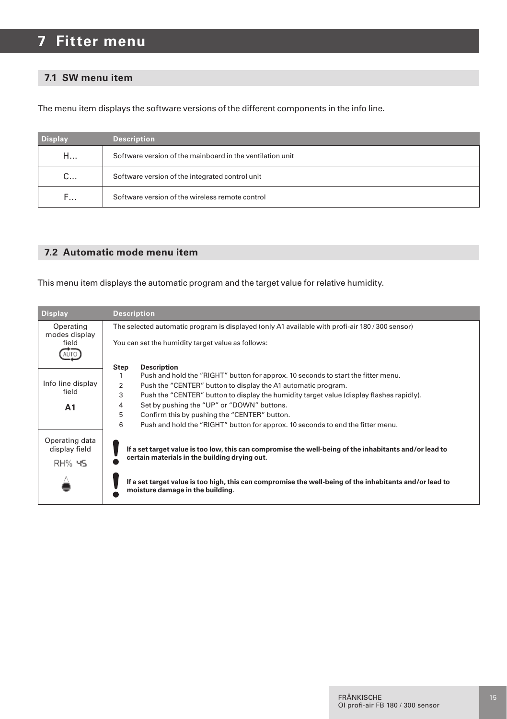## **7 Fitter menu**

#### **7.1 SW menu item**

The menu item displays the software versions of the different components in the info line.

| <b>Display</b> | <b>Description</b>                                        |
|----------------|-----------------------------------------------------------|
| H              | Software version of the mainboard in the ventilation unit |
| $C_{\cdots}$   | Software version of the integrated control unit           |
| F              | Software version of the wireless remote control           |

#### **7.2 Automatic mode menu item**

This menu item displays the automatic program and the target value for relative humidity.

| <b>Display</b>                  | <b>Description</b>                                                                                                                          |
|---------------------------------|---------------------------------------------------------------------------------------------------------------------------------------------|
| Operating                       | The selected automatic program is displayed (only A1 available with profi-air 180/300 sensor)                                               |
| modes display<br>field          | You can set the humidity target value as follows:                                                                                           |
|                                 | Step<br><b>Description</b>                                                                                                                  |
|                                 | Push and hold the "RIGHT" button for approx. 10 seconds to start the fitter menu.<br>1                                                      |
| Info line display               | Push the "CENTER" button to display the A1 automatic program.<br>2                                                                          |
| field                           | 3<br>Push the "CENTER" button to display the humidity target value (display flashes rapidly).                                               |
| A1                              | Set by pushing the "UP" or "DOWN" buttons.<br>4                                                                                             |
|                                 | 5<br>Confirm this by pushing the "CENTER" button.                                                                                           |
|                                 | 6<br>Push and hold the "RIGHT" button for approx. 10 seconds to end the fitter menu.                                                        |
| Operating data<br>display field | If a set target value is too low, this can compromise the well-being of the inhabitants and/or lead to                                      |
| RH% 45                          | certain materials in the building drying out.                                                                                               |
|                                 | If a set target value is too high, this can compromise the well-being of the inhabitants and/or lead to<br>moisture damage in the building. |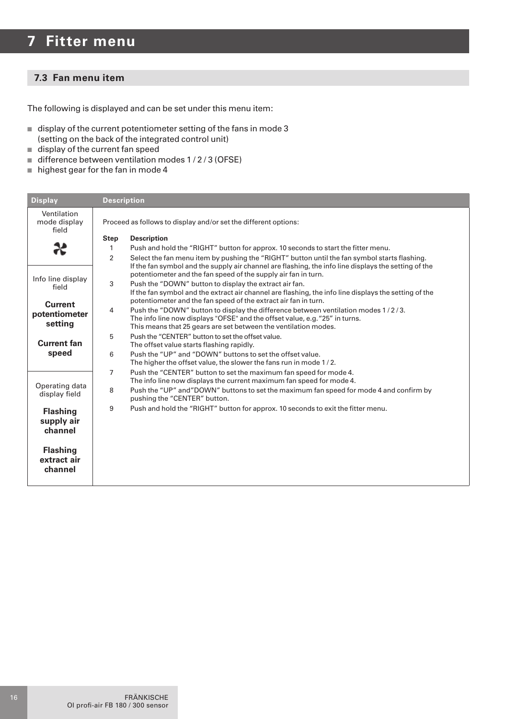## **7 Fitter menu**

#### **7.3 Fan menu item**

The following is displayed and can be set under this menu item:

- $\blacksquare$  display of the current potentiometer setting of the fans in mode 3 (setting on the back of the integrated control unit)
- $\blacksquare$  display of the current fan speed
- $\blacksquare$  difference between ventilation modes 1/2/3 (OFSE)
- $n$  highest gear for the fan in mode 4

| <b>Display</b>                                              | <b>Description</b>                                                                                                                                                                                                                                                                                                                             |
|-------------------------------------------------------------|------------------------------------------------------------------------------------------------------------------------------------------------------------------------------------------------------------------------------------------------------------------------------------------------------------------------------------------------|
| Ventilation<br>mode display<br>field                        | Proceed as follows to display and/or set the different options:                                                                                                                                                                                                                                                                                |
|                                                             | Step<br><b>Description</b><br>Push and hold the "RIGHT" button for approx. 10 seconds to start the fitter menu.<br>1<br>$\overline{2}$<br>Select the fan menu item by pushing the "RIGHT" button until the fan symbol starts flashing.                                                                                                         |
| Info line display<br>field                                  | If the fan symbol and the supply air channel are flashing, the info line displays the setting of the<br>potentiometer and the fan speed of the supply air fan in turn.<br>3<br>Push the "DOWN" button to display the extract air fan.<br>If the fan symbol and the extract air channel are flashing, the info line displays the setting of the |
| Current<br>potentiometer<br>setting                         | potentiometer and the fan speed of the extract air fan in turn.<br>4<br>Push the "DOWN" button to display the difference between ventilation modes 1/2/3.<br>The info line now displays "OFSE" and the offset value, e.g. "25" in turns.<br>This means that 25 gears are set between the ventilation modes.                                    |
| Current fan<br>speed                                        | 5<br>Push the "CENTER" button to set the offset value.<br>The offset value starts flashing rapidly.<br>Push the "UP" and "DOWN" buttons to set the offset value.<br>6<br>The higher the offset value, the slower the fans run in mode 1/2.                                                                                                     |
| Operating data<br>display field                             | $\overline{7}$<br>Push the "CENTER" button to set the maximum fan speed for mode 4.<br>The info line now displays the current maximum fan speed for mode 4.<br>8<br>Push the "UP" and "DOWN" buttons to set the maximum fan speed for mode 4 and confirm by<br>pushing the "CENTER" button.                                                    |
| <b>Flashing</b><br>supply air<br>channel<br><b>Flashing</b> | 9<br>Push and hold the "RIGHT" button for approx. 10 seconds to exit the fitter menu.                                                                                                                                                                                                                                                          |
| extract air<br>channel                                      |                                                                                                                                                                                                                                                                                                                                                |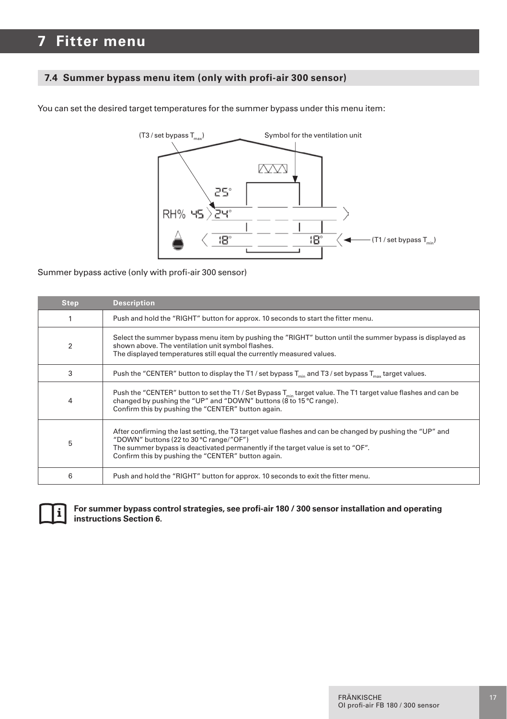#### **7.4 Summer bypass menu item (only with profi-air 300 sensor)**

You can set the desired target temperatures for the summer bypass under this menu item:



Summer bypass active (only with profi-air 300 sensor)

| <b>Step</b>    | <b>Description</b>                                                                                                                                                                                                                                                                             |
|----------------|------------------------------------------------------------------------------------------------------------------------------------------------------------------------------------------------------------------------------------------------------------------------------------------------|
|                | Push and hold the "RIGHT" button for approx. 10 seconds to start the fitter menu.                                                                                                                                                                                                              |
| $\overline{2}$ | Select the summer bypass menu item by pushing the "RIGHT" button until the summer bypass is displayed as<br>shown above. The ventilation unit symbol flashes.<br>The displayed temperatures still equal the currently measured values.                                                         |
| 3              | Push the "CENTER" button to display the T1/set bypass $T_{\text{min}}$ and T3/set bypass $T_{\text{max}}$ target values.                                                                                                                                                                       |
| 4              | Push the "CENTER" button to set the T1 / Set Bypass $T_{min}$ target value. The T1 target value flashes and can be<br>changed by pushing the "UP" and "DOWN" buttons (8 to 15 °C range).<br>Confirm this by pushing the "CENTER" button again.                                                 |
| 5              | After confirming the last setting, the T3 target value flashes and can be changed by pushing the "UP" and<br>"DOWN" buttons (22 to 30 °C range/"OF")<br>The summer bypass is deactivated permanently if the target value is set to "OF".<br>Confirm this by pushing the "CENTER" button again. |
| 6              | Push and hold the "RIGHT" button for approx. 10 seconds to exit the fitter menu.                                                                                                                                                                                                               |



#### **For summer bypass control strategies, see profi-air 180 / 300 sensor installation and operating instructions Section 6.**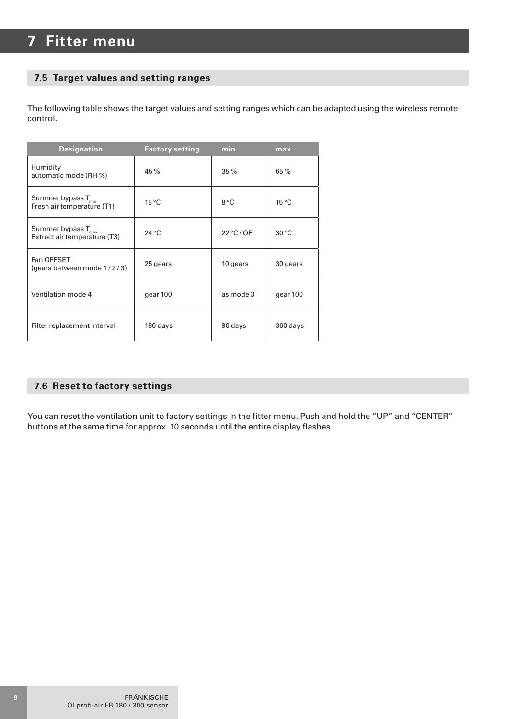#### **7.5 Target values and setting ranges**

The following table shows the target values and setting ranges which can be adapted using the wireless remote control.

| <b>Designation</b>                                             | <b>Factory setting</b> | min.                | max.           |
|----------------------------------------------------------------|------------------------|---------------------|----------------|
| Humidity<br>automatic mode (RH %)                              | 45 %                   | 35 %                | 65 %           |
| Summer bypass $T_{\text{min}}$<br>Fresh air temperature (T1)   | $15^{\circ}$ C         | 8°C                 | $15^{\circ}$ C |
| Summer bypass $T_{\text{max}}$<br>Extract air temperature (T3) | $24^{\circ}$ C         | $22^{\circ}$ C / OF | 30 °C          |
| Fan OFFSET<br>(gears between mode 1/2/3)                       | 25 gears               | 10 gears            | 30 gears       |
| Ventilation mode 4                                             | gear 100               | as mode 3           | gear 100       |
| Filter replacement interval                                    | 180 days               | 90 days             | 360 days       |

#### **7.6 Reset to factory settings**

You can reset the ventilation unit to factory settings in the fitter menu. Push and hold the "UP" and "CENTER" buttons at the same time for approx. 10 seconds until the entire display flashes.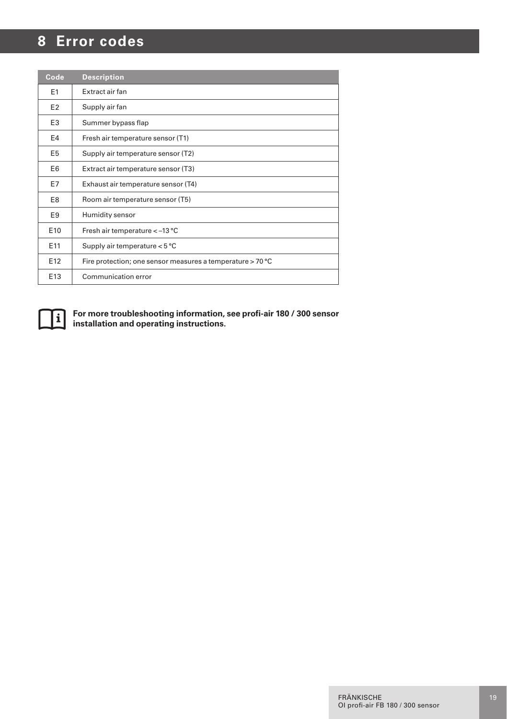## **8 Error codes**

| Code            | <b>Description</b>                                         |
|-----------------|------------------------------------------------------------|
| E <sub>1</sub>  | Extract air fan                                            |
| E <sub>2</sub>  | Supply air fan                                             |
| E <sub>3</sub>  | Summer bypass flap                                         |
| E4              | Fresh air temperature sensor (T1)                          |
| E <sub>5</sub>  | Supply air temperature sensor (T2)                         |
| E <sub>6</sub>  | Extract air temperature sensor (T3)                        |
| E7              | Exhaust air temperature sensor (T4)                        |
| E8              | Room air temperature sensor (T5)                           |
| E <sub>9</sub>  | Humidity sensor                                            |
| E <sub>10</sub> | Fresh air temperature <- 13 °C                             |
| E11             | Supply air temperature < 5 °C                              |
| E <sub>12</sub> | Fire protection; one sensor measures a temperature > 70 °C |
| E <sub>13</sub> | Communication error                                        |



**For more troubleshooting information, see profi-air 180 / 300 sensor installation and operating instructions.**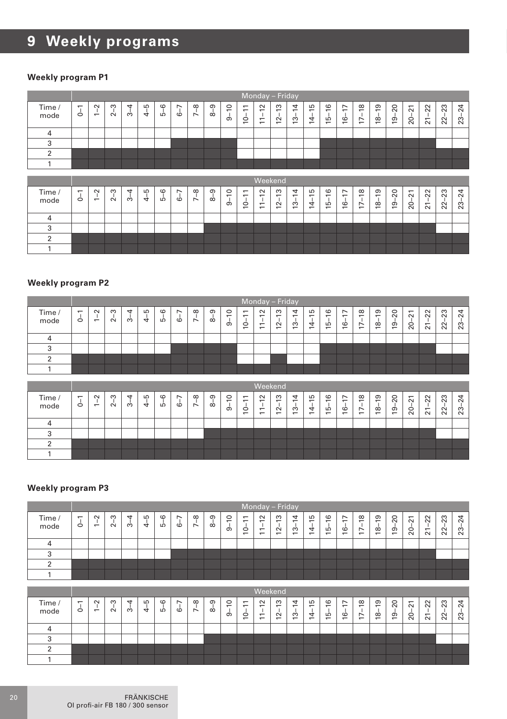#### **Weekly program P1**

|                |                                |                                         |              |         |                    |         |                      |                              |         |                                                 |                                                         |                                                              | Monday - Friday                                 |                                         |                                      |                            |                                       |                                    |                     |                     |                         |                               |                            |           |
|----------------|--------------------------------|-----------------------------------------|--------------|---------|--------------------|---------|----------------------|------------------------------|---------|-------------------------------------------------|---------------------------------------------------------|--------------------------------------------------------------|-------------------------------------------------|-----------------------------------------|--------------------------------------|----------------------------|---------------------------------------|------------------------------------|---------------------|---------------------|-------------------------|-------------------------------|----------------------------|-----------|
| Time /<br>mode | $\overline{\phantom{0}}$<br>J, | $\tilde{ }$<br>$\overline{\phantom{0}}$ | S<br>$\sim$  | 4<br>က် | $4 - 5$            | $5 - 6$ | $\overline{ }$<br>ယ် | $7 - 8$                      | $8-9$   | $\circ$<br>$\overline{5}$                       | $\overline{ }$<br>$\overline{ }$<br>T<br>$\overline{c}$ | $\sim$<br>$\overline{1}$<br>$\overline{ }$<br>$\overline{ }$ | S<br>$\overline{1}$<br>$\sim$<br>$\overline{ }$ | 4<br>$3 - 1$<br>$\overline{ }$          | Б<br>$4-1$<br>÷                      | 16<br>LÒ<br>$\overline{ }$ | $-17$<br>Ó<br>$\overline{ }$          | $-18$<br>$\overline{1}$            | $18 - 19$           | $19 - 20$           | $20 - 21$               | $-22$<br>$\overline{21}$      | $-23$<br>22                | $23 - 24$ |
| $\overline{4}$ |                                |                                         |              |         |                    |         |                      |                              |         |                                                 |                                                         |                                                              |                                                 |                                         |                                      |                            |                                       |                                    |                     |                     |                         |                               |                            |           |
| 3              |                                |                                         |              |         |                    |         |                      |                              |         |                                                 |                                                         |                                                              |                                                 |                                         |                                      |                            |                                       |                                    |                     |                     |                         |                               |                            |           |
| $\overline{2}$ |                                |                                         |              |         |                    |         |                      |                              |         |                                                 |                                                         |                                                              |                                                 |                                         |                                      |                            |                                       |                                    |                     |                     |                         |                               |                            |           |
| 1              |                                |                                         |              |         |                    |         |                      |                              |         |                                                 |                                                         |                                                              |                                                 |                                         |                                      |                            |                                       |                                    |                     |                     |                         |                               |                            |           |
|                |                                |                                         |              |         |                    |         |                      |                              |         |                                                 |                                                         |                                                              |                                                 |                                         |                                      |                            |                                       |                                    |                     |                     |                         |                               |                            |           |
|                |                                |                                         |              |         |                    |         |                      |                              |         |                                                 |                                                         | Weekend                                                      |                                                 |                                         |                                      |                            |                                       |                                    |                     |                     |                         |                               |                            |           |
| Time /<br>mode | $\overline{\phantom{0}}$<br>Ó  | $\sim$<br>$\overline{\phantom{0}}$      | ကု<br>$\sim$ | 4<br>က် | S<br>$\frac{1}{4}$ | $5 - 6$ | $6 - 7$              | $\frac{8}{1}$<br>$\ddotmark$ | $8 - 9$ | $\circ$<br>$\overline{\phantom{0}}$<br>$\sigma$ | $\overline{ }$<br>$\overline{ }$<br>ė                   | $\sim$<br>$\overline{\phantom{0}}$<br>$\Xi$                  | S<br>$\overline{ }$<br>Ĩ.<br>$\tilde{c}$        | 4<br>$\overline{\phantom{0}}$<br>$13 -$ | S<br>$\overline{ }$<br>$\frac{1}{4}$ | G<br>$\overline{ }$<br>فيا | $\overline{ }$<br>$\overline{ }$<br>غ | $\frac{8}{2}$<br>$\mathbf{I}$<br>Ė | ာ့<br>$\frac{1}{8}$ | 20<br>$\frac{1}{9}$ | $\overline{2}$<br>$20-$ | 22<br>$\overline{\mathbf{z}}$ | 23<br>$\blacksquare$<br>22 | 24<br>ಔ   |
| $\overline{4}$ |                                |                                         |              |         |                    |         |                      |                              |         |                                                 |                                                         |                                                              |                                                 |                                         |                                      |                            |                                       |                                    |                     |                     |                         |                               |                            |           |
| 3              |                                |                                         |              |         |                    |         |                      |                              |         |                                                 |                                                         |                                                              |                                                 |                                         |                                      |                            |                                       |                                    |                     |                     |                         |                               |                            |           |
| 2              |                                |                                         |              |         |                    |         |                      |                              |         |                                                 |                                                         |                                                              |                                                 |                                         |                                      |                            |                                       |                                    |                     |                     |                         |                               |                            |           |

#### **Weekly program P2**

|                |                           |                                    |             |         |                 |                |                                     |                                      |                      |                                |                                               |                                                                                            | Monday - Friday                                           |                                                                |              |                                                |                                                                                             |                                                             |         |               |                                          |                                            |          |                                          |
|----------------|---------------------------|------------------------------------|-------------|---------|-----------------|----------------|-------------------------------------|--------------------------------------|----------------------|--------------------------------|-----------------------------------------------|--------------------------------------------------------------------------------------------|-----------------------------------------------------------|----------------------------------------------------------------|--------------|------------------------------------------------|---------------------------------------------------------------------------------------------|-------------------------------------------------------------|---------|---------------|------------------------------------------|--------------------------------------------|----------|------------------------------------------|
| Time /<br>mode | $\overline{ }$<br>$\circ$ | $\sim$<br>$\overline{\phantom{0}}$ | ო<br>$\sim$ | 4<br>က် | LO<br>$\vec{a}$ | $\circ$<br>LO. | $\overline{\phantom{0}}$<br>$\circ$ | $\infty$<br>$\overline{\phantom{0}}$ | $\sigma$<br>$\infty$ | $\circ$<br>$\overline{ }$<br>ൎ | $\overline{\phantom{0}}$<br>-<br>$\circ$<br>÷ | $\sim$<br>$\overline{\phantom{0}}$<br>$\overline{\phantom{0}}$<br>$\overline{\phantom{0}}$ | S<br>$\overline{ }$<br>$\sim$<br>$\overline{\phantom{0}}$ | 4<br>$\overline{\phantom{0}}$<br>S<br>$\overline{\phantom{0}}$ | ما<br>4<br>÷ | $\frac{6}{2}$<br>S<br>$\overline{\phantom{0}}$ | $\overline{\phantom{0}}$<br>$\overline{\phantom{0}}$<br>$\circ$<br>$\overline{\phantom{0}}$ | $\infty$<br>÷<br>$\overline{ }$<br>$\overline{\phantom{0}}$ | ၣ<br>18 | $_{20}$<br>စ္ | $\overline{\phantom{0}}$<br>$\sim$<br>Ŕ. | $\overline{2}$<br>$\overline{ }$<br>$\sim$ | 23<br>22 | ᠴ<br>$\sim$<br>ო<br>$\mathbf{\tilde{c}}$ |
|                |                           |                                    |             |         |                 |                |                                     |                                      |                      |                                |                                               |                                                                                            |                                                           |                                                                |              |                                                |                                                                                             |                                                             |         |               |                                          |                                            |          |                                          |
|                |                           |                                    |             |         |                 |                |                                     |                                      |                      |                                |                                               |                                                                                            |                                                           |                                                                |              |                                                |                                                                                             |                                                             |         |               |                                          |                                            |          |                                          |
|                |                           |                                    |             |         |                 |                |                                     |                                      |                      |                                |                                               |                                                                                            |                                                           |                                                                |              |                                                |                                                                                             |                                                             |         |               |                                          |                                            |          |                                          |
|                |                           |                                    |             |         |                 |                |                                     |                                      |                      |                                |                                               |                                                                                            |                                                           |                                                                |              |                                                |                                                                                             |                                                             |         |               |                                          |                                            |          |                                          |

|                |                               |                                    |        |         |                     |               |                                     |               |               |                   |                                                                      |                                                                                  | Weekend                                      |                                         |                                          |                                                                      |                                     |                                                                       |                                                                       |                                                                      |                                                                |                                              |                        |                            |
|----------------|-------------------------------|------------------------------------|--------|---------|---------------------|---------------|-------------------------------------|---------------|---------------|-------------------|----------------------------------------------------------------------|----------------------------------------------------------------------------------|----------------------------------------------|-----------------------------------------|------------------------------------------|----------------------------------------------------------------------|-------------------------------------|-----------------------------------------------------------------------|-----------------------------------------------------------------------|----------------------------------------------------------------------|----------------------------------------------------------------|----------------------------------------------|------------------------|----------------------------|
| Time /<br>mode | $\overline{\phantom{0}}$<br>Ó | $\sim$<br>$\overline{\phantom{0}}$ | ო<br>Ń | 4<br>က် | ഥ<br>$\overline{a}$ | $\circ$<br>LÒ | $\overline{\phantom{0}}$<br>$\circ$ | $\infty$<br>Ń | $\sigma$<br>œ | $\circ$<br>-<br>ာ | $\overline{\phantom{0}}$<br>$\overline{\phantom{0}}$<br>$\circ$<br>- | $\sim$<br>$\overline{\phantom{0}}$<br>$\overline{ }$<br>$\overline{\phantom{0}}$ | ო<br>$\overline{\phantom{0}}$<br>$\sim$<br>- | 4<br>-<br>ო<br>$\overline{\phantom{0}}$ | LO<br>-<br>4<br>$\overline{\phantom{0}}$ | $\circ$<br>$\overline{\phantom{0}}$<br>ഥ<br>$\overline{\phantom{0}}$ | $\overline{ }$<br>-<br>$\circ$<br>- | $\infty$<br>-<br>$\overline{\phantom{0}}$<br>$\overline{\phantom{0}}$ | ၜ<br>$\overline{\phantom{0}}$<br>$\infty$<br>$\overline{\phantom{0}}$ | $\circ$<br>$\overline{\sim}$<br>$\sigma$<br>$\overline{\phantom{0}}$ | $\overline{ }$<br>$\sim$<br>$\circ$<br>$\overline{\mathbf{N}}$ | $\sim$<br>$\sim$<br>$\overline{ }$<br>$\sim$ | 23<br>$\sim$<br>$\sim$ | ᡪ<br>$\sim$<br>ო<br>$\sim$ |
|                |                               |                                    |        |         |                     |               |                                     |               |               |                   |                                                                      |                                                                                  |                                              |                                         |                                          |                                                                      |                                     |                                                                       |                                                                       |                                                                      |                                                                |                                              |                        |                            |
|                |                               |                                    |        |         |                     |               |                                     |               |               |                   |                                                                      |                                                                                  |                                              |                                         |                                          |                                                                      |                                     |                                                                       |                                                                       |                                                                      |                                                                |                                              |                        |                            |
|                |                               |                                    |        |         |                     |               |                                     |               |               |                   |                                                                      |                                                                                  |                                              |                                         |                                          |                                                                      |                                     |                                                                       |                                                                       |                                                                      |                                                                |                                              |                        |                            |
|                |                               |                                    |        |         |                     |               |                                     |               |               |                   |                                                                      |                                                                                  |                                              |                                         |                                          |                                                                      |                                     |                                                                       |                                                                       |                                                                      |                                                                |                                              |                        |                            |

|                |                     |                                    |             |                      |                      |               |                               |                         |               |                 |                                                            | Monday - Friday                                                                  |                                                                     |                                                       |                                                                        |                                            |                                                                                   |                                                             |                                                             |                       |                                                          |                                |          |                            |
|----------------|---------------------|------------------------------------|-------------|----------------------|----------------------|---------------|-------------------------------|-------------------------|---------------|-----------------|------------------------------------------------------------|----------------------------------------------------------------------------------|---------------------------------------------------------------------|-------------------------------------------------------|------------------------------------------------------------------------|--------------------------------------------|-----------------------------------------------------------------------------------|-------------------------------------------------------------|-------------------------------------------------------------|-----------------------|----------------------------------------------------------|--------------------------------|----------|----------------------------|
| Time /<br>mode | $\overline{ }$<br>Ó | $\sim$<br>$\overline{\phantom{0}}$ | ო<br>$\sim$ | $\overline{ }$<br>m, | LO<br>$\overline{a}$ | $\circ$<br>LÒ | $\overline{\phantom{0}}$<br>Ó | $\infty$<br>$\ddotmark$ | $\sigma$<br>œ | $\epsilon$<br>ക | $\overline{\phantom{0}}$<br>$\overline{ }$<br>$\circ$<br>- | $\sim$<br>$\overline{\phantom{0}}$<br>$\overline{ }$<br>$\overline{\phantom{0}}$ | ო<br>$\overline{\phantom{0}}$<br>$\sim$<br>$\overline{\phantom{0}}$ | $\overline{4}$<br>÷<br>က်<br>$\overline{\phantom{0}}$ | S<br>$\overline{\phantom{0}}$<br>$\vec{a}$<br>$\overline{\phantom{0}}$ | G<br>$\overline{ }$<br>S<br>$\overline{ }$ | $\overline{\phantom{0}}$<br>$\overline{\phantom{0}}$<br>$\circ$<br>$\overline{ }$ | $\infty$<br>÷<br>$\overline{ }$<br>$\overline{\phantom{0}}$ | တ<br>$\overline{ }$<br>$\infty$<br>$\overline{\phantom{0}}$ | 20<br>ၜ<br>$\ddot{ }$ | $\overline{ }$<br>$\sim$<br>$\circ$<br>$\overline{\sim}$ | 22<br>$\overline{ }$<br>$\sim$ | 23<br>22 | ᠴ<br>$\sim$<br>ო<br>$\sim$ |
|                |                     |                                    |             |                      |                      |               |                               |                         |               |                 |                                                            |                                                                                  |                                                                     |                                                       |                                                                        |                                            |                                                                                   |                                                             |                                                             |                       |                                                          |                                |          |                            |
|                |                     |                                    |             |                      |                      |               |                               |                         |               |                 |                                                            |                                                                                  |                                                                     |                                                       |                                                                        |                                            |                                                                                   |                                                             |                                                             |                       |                                                          |                                |          |                            |
|                |                     |                                    |             |                      |                      |               |                               |                         |               |                 |                                                            |                                                                                  |                                                                     |                                                       |                                                                        |                                            |                                                                                   |                                                             |                                                             |                       |                                                          |                                |          |                            |
|                |                     |                                    |             |                      |                      |               |                               |                         |               |                 |                                                            |                                                                                  |                                                                     |                                                       |                                                                        |                                            |                                                                                   |                                                             |                                                             |                       |                                                          |                                |          |                            |

|                |                           |                                    |             |        |                     |               |                           |                                      |                      |                                                 |                                                                                   | Weekend                                                                          |                                                                     |                                                                |                                            |                                                   |                                                                                   |                                                             |                                                |              |                                |                                |          |                                    |
|----------------|---------------------------|------------------------------------|-------------|--------|---------------------|---------------|---------------------------|--------------------------------------|----------------------|-------------------------------------------------|-----------------------------------------------------------------------------------|----------------------------------------------------------------------------------|---------------------------------------------------------------------|----------------------------------------------------------------|--------------------------------------------|---------------------------------------------------|-----------------------------------------------------------------------------------|-------------------------------------------------------------|------------------------------------------------|--------------|--------------------------------|--------------------------------|----------|------------------------------------|
| Time /<br>mode | $\overline{ }$<br>$\circ$ | $\sim$<br>$\overline{\phantom{0}}$ | ო<br>$\sim$ | ↤<br>ო | ഥ<br>$\overline{ }$ | $\circ$<br>LO | $\overline{ }$<br>$\circ$ | $\infty$<br>$\overline{\phantom{0}}$ | $\sigma$<br>$\infty$ | $\circ$<br>$\overline{\phantom{0}}$<br>$\sigma$ | $\overline{ }$<br>$\overline{\phantom{0}}$<br>$\circ$<br>$\overline{\phantom{0}}$ | $\sim$<br>$\overline{\phantom{0}}$<br>$\overline{ }$<br>$\overline{\phantom{0}}$ | S<br>$\overline{\phantom{0}}$<br>$\sim$<br>$\overline{\phantom{0}}$ | 4<br>$\overline{\phantom{0}}$<br>S<br>$\overline{\phantom{0}}$ | ပ<br>$\overline{ }$<br>4<br>$\overline{ }$ | $\circ$<br>$\overline{ }$<br>LO<br>$\overline{ }$ | $\overline{ }$<br>$\overline{\phantom{0}}$<br>$\circ$<br>$\overline{\phantom{0}}$ | $\infty$<br>÷<br>$\overline{ }$<br>$\overline{\phantom{0}}$ | ၜ<br>$\overline{\phantom{0}}$<br>$\infty$<br>÷ | 20<br>თ<br>- | $\overline{ }$<br>$\sim$<br>20 | 22<br>$\overline{ }$<br>$\sim$ | 23<br>22 | ₹<br>$\tilde{\sim}$<br>ო<br>$\sim$ |
|                |                           |                                    |             |        |                     |               |                           |                                      |                      |                                                 |                                                                                   |                                                                                  |                                                                     |                                                                |                                            |                                                   |                                                                                   |                                                             |                                                |              |                                |                                |          |                                    |
|                |                           |                                    |             |        |                     |               |                           |                                      |                      |                                                 |                                                                                   |                                                                                  |                                                                     |                                                                |                                            |                                                   |                                                                                   |                                                             |                                                |              |                                |                                |          |                                    |
|                |                           |                                    |             |        |                     |               |                           |                                      |                      |                                                 |                                                                                   |                                                                                  |                                                                     |                                                                |                                            |                                                   |                                                                                   |                                                             |                                                |              |                                |                                |          |                                    |
|                |                           |                                    |             |        |                     |               |                           |                                      |                      |                                                 |                                                                                   |                                                                                  |                                                                     |                                                                |                                            |                                                   |                                                                                   |                                                             |                                                |              |                                |                                |          |                                    |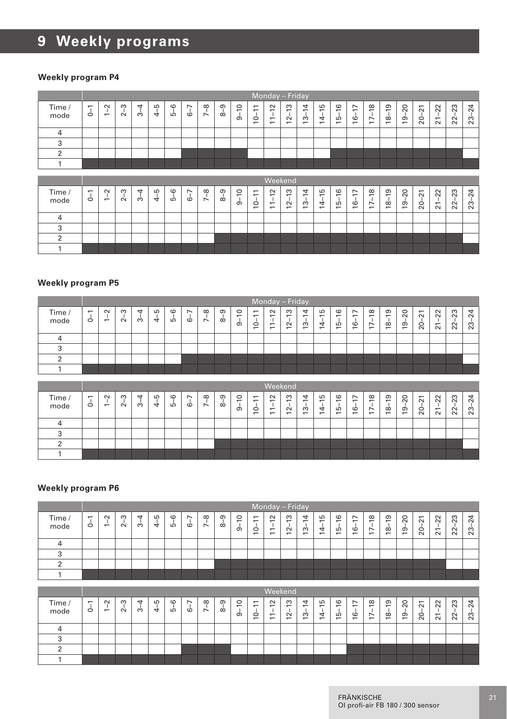#### **Weekly program P4**

|                |                               |                                                    |             |                      |         |         |         |                 |               |                                 |                                                             | Monday - Friday                                                                  |                                                                             |                                           |                                      |                                                       |                                                                   |                                                 |                                            |                           |                           |                                                     |                             |                     |
|----------------|-------------------------------|----------------------------------------------------|-------------|----------------------|---------|---------|---------|-----------------|---------------|---------------------------------|-------------------------------------------------------------|----------------------------------------------------------------------------------|-----------------------------------------------------------------------------|-------------------------------------------|--------------------------------------|-------------------------------------------------------|-------------------------------------------------------------------|-------------------------------------------------|--------------------------------------------|---------------------------|---------------------------|-----------------------------------------------------|-----------------------------|---------------------|
| Time /<br>mode | $\overline{\phantom{0}}$<br>Ó | $\sim$<br>$\overline{ }$                           | S<br>$\sim$ | 4<br>က်              | $4 - 5$ | $5 - 6$ | $6 - 7$ | ၛ<br>$\ddot{ }$ | ၜ<br>$\alpha$ | $\overline{10}$<br>ക്           | $\overline{\phantom{0}}$<br>$\overline{ }$<br>$\dot{ }$     | $\sim$<br>$\overline{\phantom{0}}$<br>$\overline{\phantom{0}}$<br>$\overline{ }$ | S<br>$\overline{\phantom{0}}$<br>$\blacksquare$<br>$\sim$<br>$\overline{ }$ | 4<br>$\overline{ }$<br>$\frac{1}{2}$<br>÷ | S<br>$\overline{ }$<br>$14 -$        | $\frac{6}{2}$<br>$\mathbf{I}$<br>LΘ<br>$\overline{ }$ | $\overline{ }$<br>$\overline{ }$<br>Ó<br>$\overline{ }$           | $\frac{8}{2}$<br>$\mathbf{I}$<br>$\overline{1}$ | ၜ<br>$\overline{ }$<br>J.<br>$\frac{8}{2}$ | 20<br>$19 -$              | $\overline{21}$<br>$20 -$ | $\overline{2}$<br>$\blacksquare$<br>$\overline{21}$ | 23<br>- T<br>$\overline{2}$ | $^{24}$<br>$23 - 3$ |
| $\overline{4}$ |                               |                                                    |             |                      |         |         |         |                 |               |                                 |                                                             |                                                                                  |                                                                             |                                           |                                      |                                                       |                                                                   |                                                 |                                            |                           |                           |                                                     |                             |                     |
| 3              |                               |                                                    |             |                      |         |         |         |                 |               |                                 |                                                             |                                                                                  |                                                                             |                                           |                                      |                                                       |                                                                   |                                                 |                                            |                           |                           |                                                     |                             |                     |
| $\overline{2}$ |                               |                                                    |             |                      |         |         |         |                 |               |                                 |                                                             |                                                                                  |                                                                             |                                           |                                      |                                                       |                                                                   |                                                 |                                            |                           |                           |                                                     |                             |                     |
| $\mathbf{1}$   |                               |                                                    |             |                      |         |         |         |                 |               |                                 |                                                             |                                                                                  |                                                                             |                                           |                                      |                                                       |                                                                   |                                                 |                                            |                           |                           |                                                     |                             |                     |
|                |                               |                                                    |             |                      |         |         |         |                 |               |                                 |                                                             |                                                                                  |                                                                             |                                           |                                      |                                                       |                                                                   |                                                 |                                            |                           |                           |                                                     |                             |                     |
|                |                               |                                                    |             |                      |         |         |         |                 |               |                                 |                                                             |                                                                                  |                                                                             |                                           |                                      |                                                       |                                                                   |                                                 |                                            |                           |                           |                                                     |                             |                     |
|                |                               |                                                    |             |                      |         |         |         |                 |               |                                 |                                                             | Weekend                                                                          |                                                                             |                                           |                                      |                                                       |                                                                   |                                                 |                                            |                           |                           |                                                     |                             |                     |
| Time /<br>mode | $\overline{ }$<br>Ó           | $\sim$<br>$\mathbf{I}$<br>$\overline{\phantom{0}}$ | $2 - 3$     | $\overline{4}$<br>ക് | $4 - 5$ | $5 - 6$ | $6 - 7$ | $7 - 8$         | $8 - 9$       | $\circ$<br>$\overline{ }$<br>ക് | $\overline{\phantom{0}}$<br>$\overline{ }$<br>$\frac{1}{2}$ | $\sim$<br>$\overline{\phantom{0}}$<br>$\overline{\phantom{0}}$<br>$\overline{ }$ | S<br>$\overline{\phantom{0}}$<br>$\overline{a}$<br>$\overline{ }$           | 4<br>$\overline{ }$<br>$13 -$             | Б<br>$\overline{ }$<br>$\frac{1}{4}$ | G<br>$\overline{ }$<br>흔                              | $\overline{ }$<br>$\overline{ }$<br>Ġ<br>$\overline{\phantom{0}}$ | $\infty$<br>$\overline{\phantom{0}}$<br>$17 -$  | ၜ<br>$\overline{ }$<br>$18 -$              | $\Omega$<br>$\frac{9}{2}$ | $\overline{2}$<br>$20-$   | 22<br>$21-$                                         | $22 - 23$                   | 24<br>$23 -$        |
| $\overline{4}$ |                               |                                                    |             |                      |         |         |         |                 |               |                                 |                                                             |                                                                                  |                                                                             |                                           |                                      |                                                       |                                                                   |                                                 |                                            |                           |                           |                                                     |                             |                     |
| 3              |                               |                                                    |             |                      |         |         |         |                 |               |                                 |                                                             |                                                                                  |                                                                             |                                           |                                      |                                                       |                                                                   |                                                 |                                            |                           |                           |                                                     |                             |                     |
| $\overline{2}$ |                               |                                                    |             |                      |         |         |         |                 |               |                                 |                                                             |                                                                                  |                                                                             |                                           |                                      |                                                       |                                                                   |                                                 |                                            |                           |                           |                                                     |                             |                     |

#### **Weekly program P5**

|                |                                     |                                    |             |         |                 |              |                                     |                                      |                      |                          |                                                 |                                                                        | Monday - Friday                    |                  |              |                                                       |                                                                                   |                     |                    |              |                                          |                                  |          |                            |
|----------------|-------------------------------------|------------------------------------|-------------|---------|-----------------|--------------|-------------------------------------|--------------------------------------|----------------------|--------------------------|-------------------------------------------------|------------------------------------------------------------------------|------------------------------------|------------------|--------------|-------------------------------------------------------|-----------------------------------------------------------------------------------|---------------------|--------------------|--------------|------------------------------------------|----------------------------------|----------|----------------------------|
| Time /<br>mode | $\overline{\phantom{0}}$<br>$\circ$ | $\sim$<br>$\overline{\phantom{0}}$ | ო<br>$\sim$ | 4<br>က် | LO<br>$\vec{a}$ | $\circ$<br>Б | $\overline{\phantom{0}}$<br>$\circ$ | $\infty$<br>$\overline{\phantom{0}}$ | $\sigma$<br>$\infty$ | $\circ$<br>÷<br>$\sigma$ | $\overline{ }$<br>$\overline{\phantom{0}}$<br>S | $\sim$<br>$\overline{\phantom{0}}$<br>$\overline{ }$<br>$\overline{ }$ | S<br>$\overline{ }$<br>$\tilde{c}$ | 4<br>÷<br>6<br>÷ | 15<br>4<br>÷ | G<br>$\overline{ }$<br>LO<br>$\overline{\phantom{0}}$ | $\overline{ }$<br>$\overline{\phantom{0}}$<br>$\circ$<br>$\overline{\phantom{0}}$ | $\frac{8}{2}$<br>17 | ഉ<br>$\infty$<br>÷ | $_{20}$<br>ഉ | $\overline{\phantom{0}}$<br>$\sim$<br>20 | $\overline{2}$<br>$\overline{a}$ | 23<br>22 | 4<br>$\sim$<br>ო<br>$\sim$ |
|                |                                     |                                    |             |         |                 |              |                                     |                                      |                      |                          |                                                 |                                                                        |                                    |                  |              |                                                       |                                                                                   |                     |                    |              |                                          |                                  |          |                            |
|                |                                     |                                    |             |         |                 |              |                                     |                                      |                      |                          |                                                 |                                                                        |                                    |                  |              |                                                       |                                                                                   |                     |                    |              |                                          |                                  |          |                            |
|                |                                     |                                    |             |         |                 |              |                                     |                                      |                      |                          |                                                 |                                                                        |                                    |                  |              |                                                       |                                                                                   |                     |                    |              |                                          |                                  |          |                            |
|                |                                     |                                    |             |         |                 |              |                                     |                                      |                      |                          |                                                 |                                                                        |                                    |                  |              |                                                       |                                                                                   |                     |                    |              |                                          |                                  |          |                            |

|                |                               |                                    |               |        |        |              |                      |                                      |                      |                                          |                                                                                   |                                                                                            | Weekend                                                             |                                         |                                             |                                                            |                                                                 |                                                                       |                                                                       |                                                               |                                                                    |                                              |                                 |                            |
|----------------|-------------------------------|------------------------------------|---------------|--------|--------|--------------|----------------------|--------------------------------------|----------------------|------------------------------------------|-----------------------------------------------------------------------------------|--------------------------------------------------------------------------------------------|---------------------------------------------------------------------|-----------------------------------------|---------------------------------------------|------------------------------------------------------------|-----------------------------------------------------------------|-----------------------------------------------------------------------|-----------------------------------------------------------------------|---------------------------------------------------------------|--------------------------------------------------------------------|----------------------------------------------|---------------------------------|----------------------------|
| Time /<br>mode | $\overline{\phantom{0}}$<br>Ó | $\sim$<br>$\overline{\phantom{0}}$ | ო<br>$\alpha$ | ↤<br>ന | ഥ<br>4 | $\circ$<br>ഥ | $\overline{ }$<br>co | $\infty$<br>$\overline{\phantom{0}}$ | $\sigma$<br>$\infty$ | $\circ$<br>$\overline{\phantom{0}}$<br>თ | $\overline{ }$<br>$\overline{\phantom{0}}$<br>$\circ$<br>$\overline{\phantom{0}}$ | $\sim$<br>$\overline{\phantom{0}}$<br>$\overline{\phantom{0}}$<br>$\overline{\phantom{0}}$ | S<br>$\overline{\phantom{0}}$<br>$\sim$<br>$\overline{\phantom{0}}$ | 4<br>-<br>S<br>$\overline{\phantom{0}}$ | LO<br>$\overline{ }$<br>4<br>$\overline{ }$ | $\circ$<br>$\overline{\phantom{0}}$<br>ഥ<br>$\overline{ }$ | $\overline{\phantom{0}}$<br>$\circ$<br>$\overline{\phantom{0}}$ | $\infty$<br>$\overline{\phantom{0}}$<br>∼<br>$\overline{\phantom{0}}$ | တ<br>$\overline{\phantom{0}}$<br>$\infty$<br>$\overline{\phantom{0}}$ | $\circ$<br>$\overline{\sim}$<br>თ<br>$\overline{\phantom{0}}$ | $\overline{\phantom{0}}$<br>$\sim$<br>$\circ$<br>$\overline{\sim}$ | $\sim$<br>$\sim$<br>$\overline{ }$<br>$\sim$ | S<br>$\sim$<br>$\sim$<br>$\sim$ | ᆉ<br>$\sim$<br>ო<br>$\sim$ |
|                |                               |                                    |               |        |        |              |                      |                                      |                      |                                          |                                                                                   |                                                                                            |                                                                     |                                         |                                             |                                                            |                                                                 |                                                                       |                                                                       |                                                               |                                                                    |                                              |                                 |                            |
|                |                               |                                    |               |        |        |              |                      |                                      |                      |                                          |                                                                                   |                                                                                            |                                                                     |                                         |                                             |                                                            |                                                                 |                                                                       |                                                                       |                                                               |                                                                    |                                              |                                 |                            |
|                |                               |                                    |               |        |        |              |                      |                                      |                      |                                          |                                                                                   |                                                                                            |                                                                     |                                         |                                             |                                                            |                                                                 |                                                                       |                                                                       |                                                               |                                                                    |                                              |                                 |                            |
|                |                               |                                    |               |        |        |              |                      |                                      |                      |                                          |                                                                                   |                                                                                            |                                                                     |                                         |                                             |                                                            |                                                                 |                                                                       |                                                                       |                                                               |                                                                    |                                              |                                 |                            |

|                |                               |                                    |             |                      |          |               |                               |               |               |                          |                                                                                   |                                                                                  | Monday - Friday                                           |                                              |                                      |                                                             |                                                                         |                                                                      |                                                |                        |                                                                    |                                              |          |             |
|----------------|-------------------------------|------------------------------------|-------------|----------------------|----------|---------------|-------------------------------|---------------|---------------|--------------------------|-----------------------------------------------------------------------------------|----------------------------------------------------------------------------------|-----------------------------------------------------------|----------------------------------------------|--------------------------------------|-------------------------------------------------------------|-------------------------------------------------------------------------|----------------------------------------------------------------------|------------------------------------------------|------------------------|--------------------------------------------------------------------|----------------------------------------------|----------|-------------|
| Time /<br>mode | $\overline{\phantom{0}}$<br>Ó | $\sim$<br>$\overline{\phantom{0}}$ | ო<br>$\sim$ | $\overline{ }$<br>က် | LO.<br>4 | $\circ$<br>LÒ | $\overline{\phantom{0}}$<br>Ó | $\infty$<br>Ń | $\sigma$<br>œ | $\circ$<br>÷<br>$\sigma$ | $\overline{ }$<br>$\overline{\phantom{0}}$<br>$\circ$<br>$\overline{\phantom{0}}$ | $\sim$<br>$\overline{\phantom{0}}$<br>$\overline{\phantom{0}}$<br>$\overline{ }$ | S<br>$\overline{ }$<br>$\sim$<br>$\overline{\phantom{0}}$ | 4<br>$\div$<br>ო<br>$\overline{\phantom{0}}$ | ഥ<br>$\equiv$<br>4<br>$\overline{ }$ | $\circ$<br>$\overline{ }$<br>LO<br>$\overline{\phantom{0}}$ | $\overline{ }$<br>$\overline{\phantom{0}}$<br>$\circ$<br>$\overline{ }$ | $\infty$<br>$\ddot{ }$<br>$\overline{ }$<br>$\overline{\phantom{0}}$ | ၜ<br>÷<br>$\infty$<br>$\overline{\phantom{0}}$ | 20<br>ၜ<br>$\ddotmark$ | $\overline{\phantom{0}}$<br>$\sim$<br>$\circ$<br>$\overline{\sim}$ | $\sim$<br>$\sim$<br>$\overline{ }$<br>$\sim$ | 23<br>22 | ო<br>$\sim$ |
|                |                               |                                    |             |                      |          |               |                               |               |               |                          |                                                                                   |                                                                                  |                                                           |                                              |                                      |                                                             |                                                                         |                                                                      |                                                |                        |                                                                    |                                              |          |             |
|                |                               |                                    |             |                      |          |               |                               |               |               |                          |                                                                                   |                                                                                  |                                                           |                                              |                                      |                                                             |                                                                         |                                                                      |                                                |                        |                                                                    |                                              |          |             |
|                |                               |                                    |             |                      |          |               |                               |               |               |                          |                                                                                   |                                                                                  |                                                           |                                              |                                      |                                                             |                                                                         |                                                                      |                                                |                        |                                                                    |                                              |          |             |
|                |                               |                                    |             |                      |          |               |                               |               |               |                          |                                                                                   |                                                                                  |                                                           |                                              |                                      |                                                             |                                                                         |                                                                      |                                                |                        |                                                                    |                                              |          |             |

|                |                                     |                          |             |        |        |               |                                     |                                      |                      |                                                 |                                                                      |                                                                                  | Weekend                                                   |                                                                |                                                                |                                               |                                                                                             |                                                                          |                                      |          |                                      |                                                      |                     |                    |
|----------------|-------------------------------------|--------------------------|-------------|--------|--------|---------------|-------------------------------------|--------------------------------------|----------------------|-------------------------------------------------|----------------------------------------------------------------------|----------------------------------------------------------------------------------|-----------------------------------------------------------|----------------------------------------------------------------|----------------------------------------------------------------|-----------------------------------------------|---------------------------------------------------------------------------------------------|--------------------------------------------------------------------------|--------------------------------------|----------|--------------------------------------|------------------------------------------------------|---------------------|--------------------|
| Time /<br>mode | $\overline{\phantom{0}}$<br>$\circ$ | $\sim$<br>$\overline{ }$ | ო<br>$\sim$ | ↤<br>ო | Ю<br>4 | $\circ$<br>LO | $\overline{\phantom{0}}$<br>$\circ$ | $\infty$<br>$\overline{\phantom{0}}$ | $\sigma$<br>$\infty$ | $\circ$<br>$\overline{\phantom{0}}$<br>$\sigma$ | $\overline{\phantom{0}}$<br>$\overline{\phantom{0}}$<br>$\circ$<br>- | $\sim$<br>$\overline{\phantom{0}}$<br>$\overline{ }$<br>$\overline{\phantom{0}}$ | S<br>$\overline{\phantom{0}}$<br>$\sim$<br>$\overline{ }$ | 4<br>$\overline{\phantom{0}}$<br>S<br>$\overline{\phantom{0}}$ | Б<br>$\overline{\phantom{0}}$<br>4<br>$\overline{\phantom{0}}$ | $\circ$<br>÷<br>ഥ<br>$\overline{\phantom{0}}$ | $\overline{\phantom{0}}$<br>$\overline{\phantom{0}}$<br>$\circ$<br>$\overline{\phantom{0}}$ | $\infty$<br>$\overline{\phantom{0}}$<br>$\overline{ }$<br>$\overline{ }$ | ၜ<br>$\overline{ }$<br>$\infty$<br>- | 20<br>စ္ | $\overline{ }$<br>$\sim$<br>$\Omega$ | $\overline{2}$<br>$\overline{\phantom{0}}$<br>$\sim$ | S<br>$\alpha$<br>22 | ₹<br>$\alpha$<br>ಔ |
|                |                                     |                          |             |        |        |               |                                     |                                      |                      |                                                 |                                                                      |                                                                                  |                                                           |                                                                |                                                                |                                               |                                                                                             |                                                                          |                                      |          |                                      |                                                      |                     |                    |
|                |                                     |                          |             |        |        |               |                                     |                                      |                      |                                                 |                                                                      |                                                                                  |                                                           |                                                                |                                                                |                                               |                                                                                             |                                                                          |                                      |          |                                      |                                                      |                     |                    |
|                |                                     |                          |             |        |        |               |                                     |                                      |                      |                                                 |                                                                      |                                                                                  |                                                           |                                                                |                                                                |                                               |                                                                                             |                                                                          |                                      |          |                                      |                                                      |                     |                    |
|                |                                     |                          |             |        |        |               |                                     |                                      |                      |                                                 |                                                                      |                                                                                  |                                                           |                                                                |                                                                |                                               |                                                                                             |                                                                          |                                      |          |                                      |                                                      |                     |                    |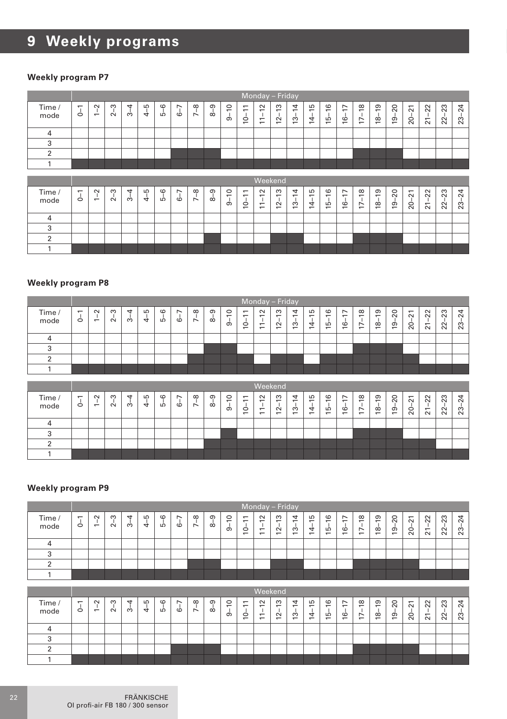#### **Weekly program P7**

|                |                                |                                    |             |         |                    |         |          |         |               |                                 |                                            |                                                                        | Monday - Friday                                    |                               |                                      |                           |                                      |                                 |                                 |              |                           |                       |                            |              |
|----------------|--------------------------------|------------------------------------|-------------|---------|--------------------|---------|----------|---------|---------------|---------------------------------|--------------------------------------------|------------------------------------------------------------------------|----------------------------------------------------|-------------------------------|--------------------------------------|---------------------------|--------------------------------------|---------------------------------|---------------------------------|--------------|---------------------------|-----------------------|----------------------------|--------------|
| Time /<br>mode | $\overline{\phantom{0}}$<br>J, | $\sim$<br>$\overline{\phantom{0}}$ | S<br>$\sim$ | 4<br>က် | S<br>$\frac{1}{4}$ | $5 - 6$ | r,<br>ယ် | $7 - 8$ | $8 - 9$       | $\circ$<br>$\overline{ }$<br>ക് | $\overline{ }$<br>$\overline{ }$<br>Ó<br>÷ | $\sim$<br>$\overline{1}$<br>$\overline{ }$<br>$\overline{\phantom{0}}$ | S<br>$2 - 1$<br>$\overline{ }$                     | 4<br>$13 - 1$                 | S<br>$\overline{ }$<br>$14 -$        | G<br>$\overline{ }$<br>15 | $\overline{\phantom{a}}$<br>$16 - 1$ | $\infty$<br>Ÿ<br>$\overline{E}$ | $18 - 19$                       | $19 - 20$    | $\overline{2}$<br>$20 -$  | 22<br>$\overline{21}$ | $-23$<br>22                | 24<br>$23 -$ |
| $\overline{4}$ |                                |                                    |             |         |                    |         |          |         |               |                                 |                                            |                                                                        |                                                    |                               |                                      |                           |                                      |                                 |                                 |              |                           |                       |                            |              |
| 3              |                                |                                    |             |         |                    |         |          |         |               |                                 |                                            |                                                                        |                                                    |                               |                                      |                           |                                      |                                 |                                 |              |                           |                       |                            |              |
| 2              |                                |                                    |             |         |                    |         |          |         |               |                                 |                                            |                                                                        |                                                    |                               |                                      |                           |                                      |                                 |                                 |              |                           |                       |                            |              |
| 1              |                                |                                    |             |         |                    |         |          |         |               |                                 |                                            |                                                                        |                                                    |                               |                                      |                           |                                      |                                 |                                 |              |                           |                       |                            |              |
|                |                                |                                    |             |         |                    |         |          |         |               |                                 |                                            |                                                                        |                                                    |                               |                                      |                           |                                      |                                 |                                 |              |                           |                       |                            |              |
|                |                                |                                    |             |         |                    |         |          |         |               |                                 |                                            |                                                                        |                                                    |                               |                                      |                           |                                      |                                 |                                 |              |                           |                       |                            |              |
| Time /<br>mode | $\overline{ }$<br>T<br>Ó       | $\tilde{ }$<br>$\overline{ }$      | ှ<br>$\sim$ | 4<br>က် | $4 - 5$            | $5 - 6$ | 7<br>cò  | $7 - 8$ | ႁ<br>$\infty$ | $\overline{c}$<br>J.<br>တ       | $\Xi$<br>$\frac{1}{2}$                     | <b>Weekend</b><br>$\sim$<br>$\overline{ }$<br>$\mathbf{I}$<br>$\Xi$    | S<br>$\overline{ }$<br>$\mathbf{I}$<br>$\tilde{c}$ | 4<br>$\overline{ }$<br>$13 -$ | Б<br>$\overline{ }$<br>$\frac{1}{4}$ | 16<br>فيا                 | F<br>ف                               | $\frac{8}{2}$<br>Ė              | $\overline{9}$<br>$\frac{1}{8}$ | 20<br>$19 -$ | $\overline{21}$<br>$20 -$ | 22<br>$\overline{2}$  | 23<br>$\blacksquare$<br>22 | $^{24}$<br>ಔ |
| $\overline{4}$ |                                |                                    |             |         |                    |         |          |         |               |                                 |                                            |                                                                        |                                                    |                               |                                      |                           |                                      |                                 |                                 |              |                           |                       |                            |              |
| 3              |                                |                                    |             |         |                    |         |          |         |               |                                 |                                            |                                                                        |                                                    |                               |                                      |                           |                                      |                                 |                                 |              |                           |                       |                            |              |
| $\overline{2}$ |                                |                                    |             |         |                    |         |          |         |               |                                 |                                            |                                                                        |                                                    |                               |                                      |                           |                                      |                                 |                                 |              |                           |                       |                            |              |

#### **Weekly program P8**

|                |                                  |                                    |             |         |                 |                |                           |                           |                      |                   |                                     |                                                                        | Monday - Friday                                           |                                              |              |                                                 |                                                              |                                                   |         |              |                                          |                                                      |                               |             |
|----------------|----------------------------------|------------------------------------|-------------|---------|-----------------|----------------|---------------------------|---------------------------|----------------------|-------------------|-------------------------------------|------------------------------------------------------------------------|-----------------------------------------------------------|----------------------------------------------|--------------|-------------------------------------------------|--------------------------------------------------------------|---------------------------------------------------|---------|--------------|------------------------------------------|------------------------------------------------------|-------------------------------|-------------|
| Time /<br>mode | $\overline{ }$<br>$\ddot{\circ}$ | $\sim$<br>$\overline{\phantom{0}}$ | ო<br>$\sim$ | 4<br>က် | LO<br>$\vec{a}$ | $\circ$<br>LÒ. | $\overline{ }$<br>$\circ$ | $\infty$<br>$\ddot{\sim}$ | $\sigma$<br>$\infty$ | $\circ$<br>÷<br>ൎ | $\overline{ }$<br>÷<br>$\circ$<br>÷ | $\sim$<br>$\overline{ }$<br>$\overline{ }$<br>$\overline{\phantom{0}}$ | S<br>$\overline{ }$<br>$\sim$<br>$\overline{\phantom{0}}$ | 4<br>$\div$<br>S<br>$\overline{\phantom{0}}$ | 15<br>4<br>÷ | $\frac{6}{2}$<br>LO<br>$\overline{\phantom{0}}$ | $\overline{ }$<br>$-$<br>$\circ$<br>$\overline{\phantom{0}}$ | $\frac{8}{2}$<br>$\overline{ }$<br>$\overline{ }$ | ၣ<br>18 | $_{20}$<br>ഉ | $\overline{\phantom{0}}$<br>$\sim$<br>20 | $\overline{2}$<br>$\overline{\phantom{0}}$<br>$\sim$ | 23<br>$\overline{\mathbf{2}}$ | $\sim$<br>ო |
|                |                                  |                                    |             |         |                 |                |                           |                           |                      |                   |                                     |                                                                        |                                                           |                                              |              |                                                 |                                                              |                                                   |         |              |                                          |                                                      |                               |             |
|                |                                  |                                    |             |         |                 |                |                           |                           |                      |                   |                                     |                                                                        |                                                           |                                              |              |                                                 |                                                              |                                                   |         |              |                                          |                                                      |                               |             |
|                |                                  |                                    |             |         |                 |                |                           |                           |                      |                   |                                     |                                                                        |                                                           |                                              |              |                                                 |                                                              |                                                   |         |              |                                          |                                                      |                               |             |
|                |                                  |                                    |             |         |                 |                |                           |                           |                      |                   |                                     |                                                                        |                                                           |                                              |              |                                                 |                                                              |                                                   |         |              |                                          |                                                      |                               |             |

|                |                               |                                    |        |         |                     |               |                                     |               |               |                                          |                                                                                             |                                                      | Weekend                                                             |                                                                |                                                      |                                                             |                                                       |                                                                                              |                                                                       |                                                                |                                                                |                                              |                        |                            |
|----------------|-------------------------------|------------------------------------|--------|---------|---------------------|---------------|-------------------------------------|---------------|---------------|------------------------------------------|---------------------------------------------------------------------------------------------|------------------------------------------------------|---------------------------------------------------------------------|----------------------------------------------------------------|------------------------------------------------------|-------------------------------------------------------------|-------------------------------------------------------|----------------------------------------------------------------------------------------------|-----------------------------------------------------------------------|----------------------------------------------------------------|----------------------------------------------------------------|----------------------------------------------|------------------------|----------------------------|
| Time /<br>mode | $\overline{\phantom{0}}$<br>Ó | $\sim$<br>$\overline{\phantom{0}}$ | ო<br>Ń | 4<br>က် | ഥ<br>$\overline{a}$ | $\circ$<br>LÒ | $\overline{\phantom{0}}$<br>$\circ$ | $\infty$<br>∼ | $\sigma$<br>œ | $\circ$<br>$\overline{\phantom{0}}$<br>ာ | $\overline{\phantom{0}}$<br>$\overline{\phantom{0}}$<br>$\circ$<br>$\overline{\phantom{0}}$ | $\sim$<br>$\overline{ }$<br>$\overline{\phantom{0}}$ | S<br>$\overline{\phantom{0}}$<br>$\sim$<br>$\overline{\phantom{0}}$ | 4<br>$\overline{\phantom{0}}$<br>ო<br>$\overline{\phantom{0}}$ | Ю<br>$\overline{\phantom{0}}$<br>4<br>$\overline{ }$ | $\circ$<br>$\overline{\phantom{0}}$<br>LO<br>$\overline{ }$ | $\overline{ }$<br>$\circ$<br>$\overline{\phantom{0}}$ | $\infty$<br>$\overline{\phantom{0}}$<br>$\overline{\phantom{0}}$<br>$\overline{\phantom{0}}$ | တ<br>$\overline{\phantom{0}}$<br>$\infty$<br>$\overline{\phantom{0}}$ | 0<br>$\overline{\sim}$<br>$\sigma$<br>$\overline{\phantom{0}}$ | $\overline{ }$<br>$\sim$<br>$\circ$<br>$\overline{\mathbf{N}}$ | $\sim$<br>$\sim$<br>$\overline{ }$<br>$\sim$ | 23<br>$\sim$<br>$\sim$ | ᆉ<br>$\sim$<br>ო<br>$\sim$ |
|                |                               |                                    |        |         |                     |               |                                     |               |               |                                          |                                                                                             |                                                      |                                                                     |                                                                |                                                      |                                                             |                                                       |                                                                                              |                                                                       |                                                                |                                                                |                                              |                        |                            |
|                |                               |                                    |        |         |                     |               |                                     |               |               |                                          |                                                                                             |                                                      |                                                                     |                                                                |                                                      |                                                             |                                                       |                                                                                              |                                                                       |                                                                |                                                                |                                              |                        |                            |
|                |                               |                                    |        |         |                     |               |                                     |               |               |                                          |                                                                                             |                                                      |                                                                     |                                                                |                                                      |                                                             |                                                       |                                                                                              |                                                                       |                                                                |                                                                |                                              |                        |                            |
|                |                               |                                    |        |         |                     |               |                                     |               |               |                                          |                                                                                             |                                                      |                                                                     |                                                                |                                                      |                                                             |                                                       |                                                                                              |                                                                       |                                                                |                                                                |                                              |                        |                            |

|                |                           |                                    |             |                      |         |          |   |                         |               |                          |                                                            | Monday - Friday                                                     |                                              |                                                                |                                 |                                                            |                                                                                             |                                                                      |                                      |                                           |                                                                          |                                                        |                        |                       |
|----------------|---------------------------|------------------------------------|-------------|----------------------|---------|----------|---|-------------------------|---------------|--------------------------|------------------------------------------------------------|---------------------------------------------------------------------|----------------------------------------------|----------------------------------------------------------------|---------------------------------|------------------------------------------------------------|---------------------------------------------------------------------------------------------|----------------------------------------------------------------------|--------------------------------------|-------------------------------------------|--------------------------------------------------------------------------|--------------------------------------------------------|------------------------|-----------------------|
| Time /<br>mode | $\overline{ }$<br>$\circ$ | $\sim$<br>$\overline{\phantom{0}}$ | ო<br>$\sim$ | $\overline{ }$<br>က် | LO<br>4 | co<br>LÒ | Ó | $\infty$<br>$\ddotmark$ | $\sigma$<br>œ | $\circ$<br>÷<br>$\sigma$ | $\overline{\phantom{0}}$<br>$\overline{ }$<br>$\circ$<br>- | $\sim$<br>-<br>$\overline{\phantom{0}}$<br>$\overline{\phantom{0}}$ | ო<br>÷<br>$\sim$<br>$\overline{\phantom{0}}$ | 4<br>$\overline{\phantom{0}}$<br>ო<br>$\overline{\phantom{0}}$ | LO.<br>≕<br>4<br>$\overline{ }$ | $\circ$<br>$\overline{ }$<br>S<br>$\overline{\phantom{0}}$ | $\overline{\phantom{0}}$<br>$\overline{\phantom{0}}$<br>$\circ$<br>$\overline{\phantom{0}}$ | $\infty$<br>$\ddot{ }$<br>$\overline{ }$<br>$\overline{\phantom{0}}$ | ၜ<br>÷<br>$\infty$<br>$\overline{ }$ | $\Omega$<br>თ<br>$\overline{\phantom{0}}$ | $\overline{\phantom{0}}$<br>$\sim$<br>$\circ$<br>$\overline{\mathbf{N}}$ | $\sim$<br>$\sim$<br>$\overline{\phantom{0}}$<br>$\sim$ | 23<br>$\sim$<br>$\sim$ | $\sim$<br>ო<br>$\sim$ |
|                |                           |                                    |             |                      |         |          |   |                         |               |                          |                                                            |                                                                     |                                              |                                                                |                                 |                                                            |                                                                                             |                                                                      |                                      |                                           |                                                                          |                                                        |                        |                       |
|                |                           |                                    |             |                      |         |          |   |                         |               |                          |                                                            |                                                                     |                                              |                                                                |                                 |                                                            |                                                                                             |                                                                      |                                      |                                           |                                                                          |                                                        |                        |                       |
|                |                           |                                    |             |                      |         |          |   |                         |               |                          |                                                            |                                                                     |                                              |                                                                |                                 |                                                            |                                                                                             |                                                                      |                                      |                                           |                                                                          |                                                        |                        |                       |
|                |                           |                                    |             |                      |         |          |   |                         |               |                          |                                                            |                                                                     |                                              |                                                                |                                 |                                                            |                                                                                             |                                                                      |                                      |                                           |                                                                          |                                                        |                        |                       |

|                |                                     |                                    |             |                     |         |               |                                     |                    |                      |                                |                                                                                             |                                                                                  | Weekend                                                             |                                                                |                      |                                                      |                                                                                   |                                                                                    |                         |               |                                |         |          |                                         |
|----------------|-------------------------------------|------------------------------------|-------------|---------------------|---------|---------------|-------------------------------------|--------------------|----------------------|--------------------------------|---------------------------------------------------------------------------------------------|----------------------------------------------------------------------------------|---------------------------------------------------------------------|----------------------------------------------------------------|----------------------|------------------------------------------------------|-----------------------------------------------------------------------------------|------------------------------------------------------------------------------------|-------------------------|---------------|--------------------------------|---------|----------|-----------------------------------------|
| Time /<br>mode | $\overline{\phantom{0}}$<br>$\circ$ | $\sim$<br>$\overline{\phantom{0}}$ | ო<br>$\sim$ | $\overline{ }$<br>ო | LO<br>4 | $\circ$<br>LO | $\overline{\phantom{0}}$<br>$\circ$ | $\infty$<br>$\sim$ | $\sigma$<br>$\infty$ | $\circ$<br>$\overline{ }$<br>თ | $\overline{\phantom{0}}$<br>$\overline{\phantom{0}}$<br>$\circ$<br>$\overline{\phantom{0}}$ | $\sim$<br>$\overline{\phantom{0}}$<br>$\overline{ }$<br>$\overline{\phantom{0}}$ | S<br>$\overline{\phantom{0}}$<br>$\sim$<br>$\overline{\phantom{0}}$ | 4<br>$\overline{\phantom{0}}$<br>S<br>$\overline{\phantom{0}}$ | 15<br>$\vec{a}$<br>÷ | G<br>$\overline{ }$<br>ഥ<br>$\overline{\phantom{0}}$ | $\overline{ }$<br>$\overline{\phantom{0}}$<br>$\circ$<br>$\overline{\phantom{0}}$ | $\infty$<br>$\overline{\phantom{0}}$<br>$\overline{ }$<br>$\overline{\phantom{0}}$ | တ<br>÷<br>$\infty$<br>÷ | $_{20}$<br>စ္ | $\overline{ }$<br>$\sim$<br>20 | 22<br>ត | 23<br>22 | $\overline{ }$<br>$\sim$<br>ო<br>$\sim$ |
|                |                                     |                                    |             |                     |         |               |                                     |                    |                      |                                |                                                                                             |                                                                                  |                                                                     |                                                                |                      |                                                      |                                                                                   |                                                                                    |                         |               |                                |         |          |                                         |
|                |                                     |                                    |             |                     |         |               |                                     |                    |                      |                                |                                                                                             |                                                                                  |                                                                     |                                                                |                      |                                                      |                                                                                   |                                                                                    |                         |               |                                |         |          |                                         |
|                |                                     |                                    |             |                     |         |               |                                     |                    |                      |                                |                                                                                             |                                                                                  |                                                                     |                                                                |                      |                                                      |                                                                                   |                                                                                    |                         |               |                                |         |          |                                         |
|                |                                     |                                    |             |                     |         |               |                                     |                    |                      |                                |                                                                                             |                                                                                  |                                                                     |                                                                |                      |                                                      |                                                                                   |                                                                                    |                         |               |                                |         |          |                                         |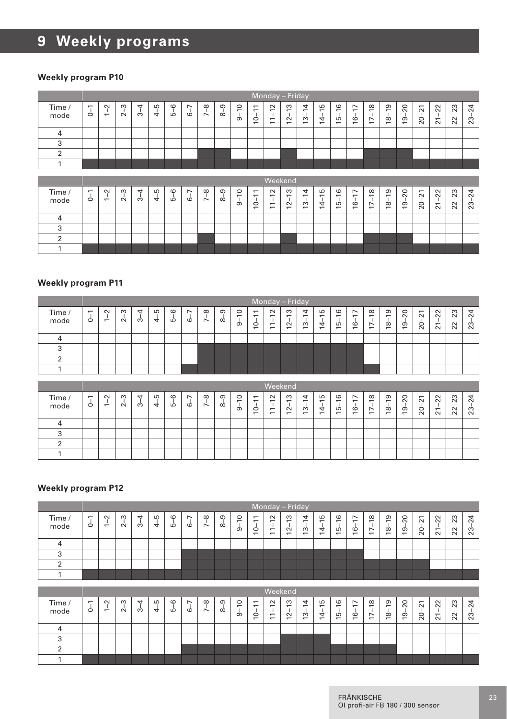#### **Weekly program P10**

|                |                     |                                    |               |         |         |         |         |                    |               |                                             |                                                 | Monday - Friday                                           |                                                           |                                      |                                    |                               |                              |            |                     |                          |                             |                                      |                       |                         |
|----------------|---------------------|------------------------------------|---------------|---------|---------|---------|---------|--------------------|---------------|---------------------------------------------|-------------------------------------------------|-----------------------------------------------------------|-----------------------------------------------------------|--------------------------------------|------------------------------------|-------------------------------|------------------------------|------------|---------------------|--------------------------|-----------------------------|--------------------------------------|-----------------------|-------------------------|
| Time /<br>mode | $\overline{ }$<br>Ó | $\sim$<br>$\overline{ }$           | S<br>$\sim$   | 4<br>ക് | $4 - 5$ | $5 - 6$ | $6 - 7$ | $7 - 8$            | ၜ<br>$\alpha$ | $\circ$<br>$\overline{5}$                   | $\overline{\phantom{0}}$<br>$10 - 1$            | $\sim$<br>7<br>$\overline{\phantom{0}}$<br>$\overline{ }$ | S<br>$\overline{1}$<br>$\sim$<br>$\overline{\phantom{0}}$ | 4<br>$\frac{1}{3}$<br>$\overline{ }$ | S<br>$14 - 1$                      | $-16$<br>LΘ<br>$\overline{ }$ | $-17$<br>Ó<br>$\overline{ }$ | $-18$<br>Ė | $18 - 19$           | $19 - 20$                | $20 - 21$                   | $-22$<br>$\overline{21}$             | $22 - 23$             | $-24$<br>$\mathbf{r}_2$ |
| $\overline{4}$ |                     |                                    |               |         |         |         |         |                    |               |                                             |                                                 |                                                           |                                                           |                                      |                                    |                               |                              |            |                     |                          |                             |                                      |                       |                         |
| 3              |                     |                                    |               |         |         |         |         |                    |               |                                             |                                                 |                                                           |                                                           |                                      |                                    |                               |                              |            |                     |                          |                             |                                      |                       |                         |
| $\overline{2}$ |                     |                                    |               |         |         |         |         |                    |               |                                             |                                                 |                                                           |                                                           |                                      |                                    |                               |                              |            |                     |                          |                             |                                      |                       |                         |
| $\mathbf{1}$   |                     |                                    |               |         |         |         |         |                    |               |                                             |                                                 |                                                           |                                                           |                                      |                                    |                               |                              |            |                     |                          |                             |                                      |                       |                         |
|                |                     |                                    |               |         |         |         |         |                    |               |                                             |                                                 |                                                           |                                                           |                                      |                                    |                               |                              |            |                     |                          |                             |                                      |                       |                         |
|                |                     |                                    |               |         |         |         |         |                    |               |                                             |                                                 |                                                           |                                                           |                                      |                                    |                               |                              |            |                     |                          |                             |                                      |                       |                         |
| Time /<br>mode | $\overline{ }$<br>Ó | $\sim$<br>$\overline{\phantom{0}}$ | S<br>$\alpha$ | 4<br>က် | $4 - 5$ | $5 - 6$ | $6 - 7$ | °<br>$\ddot{\sim}$ | ၜ<br>$\alpha$ | $\circ$<br>$\overline{ }$<br>-1<br>$\sigma$ | $\overline{\phantom{0}}$<br>$\overline{ }$<br>ġ | Weekend<br>$\sim$<br>$\overline{ }$<br>$\Xi$              | S<br>$\overline{\phantom{0}}$<br>$\tilde{5}$              | 4<br>$\overline{ }$<br>$\frac{1}{2}$ | S<br>$\overline{ }$<br>$rac{1}{4}$ | $\frac{6}{2}$<br>T.<br>فيا    | F<br>ف                       | $17 - 18$  | 51<br>$\frac{1}{8}$ | $\overline{c}$<br>$19 -$ | $\overline{21}$<br>$20 - 3$ | 22<br>$\mathbf{I}$<br>$\overline{2}$ | $-23$<br>$\mathbf{z}$ | 24<br>23                |
| $\overline{4}$ |                     |                                    |               |         |         |         |         |                    |               |                                             |                                                 |                                                           |                                                           |                                      |                                    |                               |                              |            |                     |                          |                             |                                      |                       |                         |
| 3              |                     |                                    |               |         |         |         |         |                    |               |                                             |                                                 |                                                           |                                                           |                                      |                                    |                               |                              |            |                     |                          |                             |                                      |                       |                         |
| $\overline{2}$ |                     |                                    |               |         |         |         |         |                    |               |                                             |                                                 |                                                           |                                                           |                                      |                                    |                               |                              |            |                     |                          |                             |                                      |                       |                         |

#### **Weekly program P11**

|                |                                     |                                    |                    |        |         |              |                                     |                                      |                      |                                                 |                                                            |                                                 | Monday - Friday                                 |                                                                |              |                                                 |                                                                                             |                                                                |                                                |                |                                          |                                              |         |                  |
|----------------|-------------------------------------|------------------------------------|--------------------|--------|---------|--------------|-------------------------------------|--------------------------------------|----------------------|-------------------------------------------------|------------------------------------------------------------|-------------------------------------------------|-------------------------------------------------|----------------------------------------------------------------|--------------|-------------------------------------------------|---------------------------------------------------------------------------------------------|----------------------------------------------------------------|------------------------------------------------|----------------|------------------------------------------|----------------------------------------------|---------|------------------|
| Time /<br>mode | $\overline{\phantom{0}}$<br>$\circ$ | $\sim$<br>$\overline{\phantom{0}}$ | $\infty$<br>$\sim$ | ↤<br>ო | LO<br>₹ | $\circ$<br>Б | $\overline{\phantom{0}}$<br>$\circ$ | $\infty$<br>$\overline{\phantom{0}}$ | $\sigma$<br>$\infty$ | $\circ$<br>$\overline{\phantom{0}}$<br>$\sigma$ | $\overline{ }$<br>$\overline{\phantom{0}}$<br>$\circ$<br>- | $\sim$<br>-<br>$\overline{ }$<br>$\overline{ }$ | ო<br>$\overline{ }$<br>$\sim$<br>$\overline{ }$ | 4<br>$\overline{\phantom{0}}$<br>S<br>$\overline{\phantom{0}}$ | ما<br>4<br>÷ | $\circ$<br>-<br>LO.<br>$\overline{\phantom{0}}$ | $\overline{\phantom{0}}$<br>$\overline{\phantom{0}}$<br>$\circ$<br>$\overline{\phantom{0}}$ | $\infty$<br>$\overline{ }$<br>$\overline{ }$<br>$\overline{ }$ | ၜ<br>÷<br>$\infty$<br>$\overline{\phantom{0}}$ | $\Omega$<br>စ္ | $\overline{\phantom{0}}$<br>$\sim$<br>20 | $\sim$<br>$\sim$<br>$\overline{ }$<br>$\sim$ | ಔ<br>22 | $\sim$<br>$\sim$ |
|                |                                     |                                    |                    |        |         |              |                                     |                                      |                      |                                                 |                                                            |                                                 |                                                 |                                                                |              |                                                 |                                                                                             |                                                                |                                                |                |                                          |                                              |         |                  |
|                |                                     |                                    |                    |        |         |              |                                     |                                      |                      |                                                 |                                                            |                                                 |                                                 |                                                                |              |                                                 |                                                                                             |                                                                |                                                |                |                                          |                                              |         |                  |
|                |                                     |                                    |                    |        |         |              |                                     |                                      |                      |                                                 |                                                            |                                                 |                                                 |                                                                |              |                                                 |                                                                                             |                                                                |                                                |                |                                          |                                              |         |                  |
|                |                                     |                                    |                    |        |         |              |                                     |                                      |                      |                                                 |                                                            |                                                 |                                                 |                                                                |              |                                                 |                                                                                             |                                                                |                                                |                |                                          |                                              |         |                  |

|                |                               |                          |               |                      |         |              |                      |               |               |                                                 |                                                                                             | Weekend                                                   |                                                                     |                                                      |                                                                |                                                                  |                                                                                             |                                                                          |                                                                       |                                  |                                                                          |                                              |                        |                       |
|----------------|-------------------------------|--------------------------|---------------|----------------------|---------|--------------|----------------------|---------------|---------------|-------------------------------------------------|---------------------------------------------------------------------------------------------|-----------------------------------------------------------|---------------------------------------------------------------------|------------------------------------------------------|----------------------------------------------------------------|------------------------------------------------------------------|---------------------------------------------------------------------------------------------|--------------------------------------------------------------------------|-----------------------------------------------------------------------|----------------------------------|--------------------------------------------------------------------------|----------------------------------------------|------------------------|-----------------------|
| Time /<br>mode | $\overline{\phantom{0}}$<br>Ó | $\sim$<br>$\overline{ }$ | ო<br>$\alpha$ | $\overline{a}$<br>က် | LO<br>4 | $\circ$<br>ம | $\overline{ }$<br>co | $\infty$<br>Ń | $\sigma$<br>œ | $\circ$<br>$\overline{\phantom{0}}$<br>$\sigma$ | $\overline{\phantom{0}}$<br>$\overline{\phantom{0}}$<br>$\circ$<br>$\overline{\phantom{0}}$ | $\sim$<br>-<br>$\overline{\phantom{0}}$<br>$\overline{ }$ | S<br>$\overline{\phantom{0}}$<br>$\sim$<br>$\overline{\phantom{0}}$ | 4<br>$\overline{ }$<br>S<br>$\overline{\phantom{0}}$ | Б<br>$\overline{\phantom{0}}$<br>4<br>$\overline{\phantom{0}}$ | G<br>$\overline{\phantom{0}}$<br>LO.<br>$\overline{\phantom{0}}$ | $\overline{\phantom{0}}$<br>$\overline{\phantom{0}}$<br>$\circ$<br>$\overline{\phantom{0}}$ | $\infty$<br>$\overline{ }$<br>$\overline{ }$<br>$\overline{\phantom{0}}$ | ၜ<br>$\overline{\phantom{0}}$<br>$\infty$<br>$\overline{\phantom{0}}$ | 20<br>$\sigma$<br>$\overline{ }$ | $\overline{\phantom{0}}$<br>$\sim$<br>$\circ$<br>$\overline{\mathbf{N}}$ | $\sim$<br>$\sim$<br>$\overline{ }$<br>$\sim$ | 23<br>$\sim$<br>$\sim$ | ᠴ<br>$\sim$<br>$\sim$ |
|                |                               |                          |               |                      |         |              |                      |               |               |                                                 |                                                                                             |                                                           |                                                                     |                                                      |                                                                |                                                                  |                                                                                             |                                                                          |                                                                       |                                  |                                                                          |                                              |                        |                       |
|                |                               |                          |               |                      |         |              |                      |               |               |                                                 |                                                                                             |                                                           |                                                                     |                                                      |                                                                |                                                                  |                                                                                             |                                                                          |                                                                       |                                  |                                                                          |                                              |                        |                       |
|                |                               |                          |               |                      |         |              |                      |               |               |                                                 |                                                                                             |                                                           |                                                                     |                                                      |                                                                |                                                                  |                                                                                             |                                                                          |                                                                       |                                  |                                                                          |                                              |                        |                       |
|                |                               |                          |               |                      |         |              |                      |               |               |                                                 |                                                                                             |                                                           |                                                                     |                                                      |                                                                |                                                                  |                                                                                             |                                                                          |                                                                       |                                  |                                                                          |                                              |                        |                       |

|                | Monday - Friday               |                                    |             |                      |          |               |                               |               |               |                          |                                                                                   |                                                                                  |                                                           |                                              |                                       |                                                             |                                                                                   |                                                                      |                                      |                        |                                                          |                                              |          |             |
|----------------|-------------------------------|------------------------------------|-------------|----------------------|----------|---------------|-------------------------------|---------------|---------------|--------------------------|-----------------------------------------------------------------------------------|----------------------------------------------------------------------------------|-----------------------------------------------------------|----------------------------------------------|---------------------------------------|-------------------------------------------------------------|-----------------------------------------------------------------------------------|----------------------------------------------------------------------|--------------------------------------|------------------------|----------------------------------------------------------|----------------------------------------------|----------|-------------|
| Time /<br>mode | $\overline{\phantom{0}}$<br>Ó | $\sim$<br>$\overline{\phantom{0}}$ | ო<br>$\sim$ | $\overline{ }$<br>က် | LO.<br>4 | $\circ$<br>LÒ | $\overline{\phantom{0}}$<br>Ò | $\infty$<br>Ń | $\sigma$<br>œ | $\circ$<br>÷<br>$\sigma$ | $\overline{ }$<br>$\overline{\phantom{0}}$<br>$\circ$<br>$\overline{\phantom{0}}$ | $\sim$<br>$\overline{\phantom{0}}$<br>$\overline{\phantom{0}}$<br>$\overline{ }$ | S<br>$\overline{ }$<br>$\sim$<br>$\overline{\phantom{0}}$ | 4<br>$\div$<br>ო<br>$\overline{\phantom{0}}$ | LO<br>$\equiv$<br>4<br>$\overline{ }$ | $\circ$<br>$\overline{ }$<br>LO<br>$\overline{\phantom{0}}$ | $\overline{\phantom{0}}$<br>$\overline{\phantom{0}}$<br>$\circ$<br>$\overline{ }$ | $\infty$<br>$\ddot{ }$<br>$\overline{ }$<br>$\overline{\phantom{0}}$ | ၜ<br>÷<br>$\infty$<br>$\overline{ }$ | 20<br>ၜ<br>$\ddotmark$ | $\overline{ }$<br>$\sim$<br>$\circ$<br>$\overline{\sim}$ | $\sim$<br>$\sim$<br>$\overline{ }$<br>$\sim$ | 23<br>22 | ო<br>$\sim$ |
|                |                               |                                    |             |                      |          |               |                               |               |               |                          |                                                                                   |                                                                                  |                                                           |                                              |                                       |                                                             |                                                                                   |                                                                      |                                      |                        |                                                          |                                              |          |             |
|                |                               |                                    |             |                      |          |               |                               |               |               |                          |                                                                                   |                                                                                  |                                                           |                                              |                                       |                                                             |                                                                                   |                                                                      |                                      |                        |                                                          |                                              |          |             |
|                |                               |                                    |             |                      |          |               |                               |               |               |                          |                                                                                   |                                                                                  |                                                           |                                              |                                       |                                                             |                                                                                   |                                                                      |                                      |                        |                                                          |                                              |          |             |
|                |                               |                                    |             |                      |          |               |                               |               |               |                          |                                                                                   |                                                                                  |                                                           |                                              |                                       |                                                             |                                                                                   |                                                                      |                                      |                        |                                                          |                                              |          |             |

|                | Weekend                             |                          |             |        |        |               |                                     |                                      |                      |                                                 |                                                                      |                                                                                  |                                                           |                                                                |                                                                |                                               |                                                                                             |                                                                          |                                      |          |                                      |                                                      |                     |                    |
|----------------|-------------------------------------|--------------------------|-------------|--------|--------|---------------|-------------------------------------|--------------------------------------|----------------------|-------------------------------------------------|----------------------------------------------------------------------|----------------------------------------------------------------------------------|-----------------------------------------------------------|----------------------------------------------------------------|----------------------------------------------------------------|-----------------------------------------------|---------------------------------------------------------------------------------------------|--------------------------------------------------------------------------|--------------------------------------|----------|--------------------------------------|------------------------------------------------------|---------------------|--------------------|
| Time /<br>mode | $\overline{\phantom{0}}$<br>$\circ$ | $\sim$<br>$\overline{ }$ | ო<br>$\sim$ | ↤<br>ო | Ю<br>4 | $\circ$<br>LO | $\overline{\phantom{0}}$<br>$\circ$ | $\infty$<br>$\overline{\phantom{0}}$ | $\sigma$<br>$\infty$ | $\circ$<br>$\overline{\phantom{0}}$<br>$\sigma$ | $\overline{\phantom{0}}$<br>$\overline{\phantom{0}}$<br>$\circ$<br>- | $\sim$<br>$\overline{\phantom{0}}$<br>$\overline{ }$<br>$\overline{\phantom{0}}$ | S<br>$\overline{\phantom{0}}$<br>$\sim$<br>$\overline{ }$ | 4<br>$\overline{\phantom{0}}$<br>S<br>$\overline{\phantom{0}}$ | Б<br>$\overline{\phantom{0}}$<br>4<br>$\overline{\phantom{0}}$ | $\circ$<br>÷<br>Ю<br>$\overline{\phantom{0}}$ | $\overline{\phantom{0}}$<br>$\overline{\phantom{0}}$<br>$\circ$<br>$\overline{\phantom{0}}$ | $\infty$<br>$\overline{\phantom{0}}$<br>$\overline{ }$<br>$\overline{ }$ | ၜ<br>$\overline{ }$<br>$\infty$<br>- | 20<br>စ္ | $\overline{ }$<br>$\sim$<br>$\Omega$ | $\overline{2}$<br>$\overline{\phantom{0}}$<br>$\sim$ | S<br>$\alpha$<br>22 | ₹<br>$\alpha$<br>ಔ |
|                |                                     |                          |             |        |        |               |                                     |                                      |                      |                                                 |                                                                      |                                                                                  |                                                           |                                                                |                                                                |                                               |                                                                                             |                                                                          |                                      |          |                                      |                                                      |                     |                    |
|                |                                     |                          |             |        |        |               |                                     |                                      |                      |                                                 |                                                                      |                                                                                  |                                                           |                                                                |                                                                |                                               |                                                                                             |                                                                          |                                      |          |                                      |                                                      |                     |                    |
|                |                                     |                          |             |        |        |               |                                     |                                      |                      |                                                 |                                                                      |                                                                                  |                                                           |                                                                |                                                                |                                               |                                                                                             |                                                                          |                                      |          |                                      |                                                      |                     |                    |
|                |                                     |                          |             |        |        |               |                                     |                                      |                      |                                                 |                                                                      |                                                                                  |                                                           |                                                                |                                                                |                                               |                                                                                             |                                                                          |                                      |          |                                      |                                                      |                     |                    |